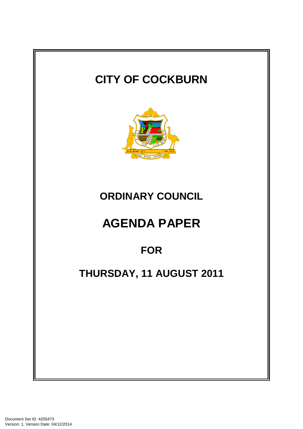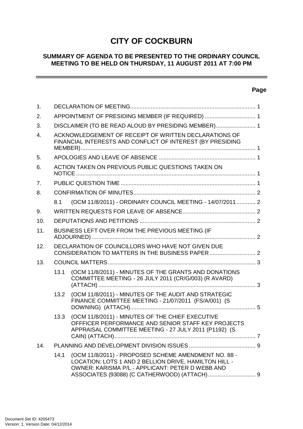# **CITY OF COCKBURN**

# **SUMMARY OF AGENDA TO BE PRESENTED TO THE ORDINARY COUNCIL MEETING TO BE HELD ON THURSDAY, 11 AUGUST 2011 AT 7:00 PM**

# **Page**

| 1.             |      |                                                                                                                                                                   |  |
|----------------|------|-------------------------------------------------------------------------------------------------------------------------------------------------------------------|--|
| 2.             |      | APPOINTMENT OF PRESIDING MEMBER (IF REQUIRED)  1                                                                                                                  |  |
| 3.             |      | DISCLAIMER (TO BE READ ALOUD BY PRESIDING MEMBER) 1                                                                                                               |  |
| $\mathbf{4}$ . |      | ACKNOWLEDGEMENT OF RECEIPT OF WRITTEN DECLARATIONS OF<br>FINANCIAL INTERESTS AND CONFLICT OF INTEREST (BY PRESIDING                                               |  |
| 5.             |      |                                                                                                                                                                   |  |
| 6.             |      | ACTION TAKEN ON PREVIOUS PUBLIC QUESTIONS TAKEN ON                                                                                                                |  |
| 7 <sub>1</sub> |      |                                                                                                                                                                   |  |
| 8.             |      |                                                                                                                                                                   |  |
|                | 8.1  | (OCM 11/8/2011) - ORDINARY COUNCIL MEETING - 14/07/2011  2                                                                                                        |  |
| 9.             |      |                                                                                                                                                                   |  |
| 10.            |      |                                                                                                                                                                   |  |
| 11.            |      | BUSINESS LEFT OVER FROM THE PREVIOUS MEETING (IF                                                                                                                  |  |
| 12.            |      | DECLARATION OF COUNCILLORS WHO HAVE NOT GIVEN DUE                                                                                                                 |  |
| 13.            |      |                                                                                                                                                                   |  |
|                | 13.1 | (OCM 11/8/2011) - MINUTES OF THE GRANTS AND DONATIONS<br>COMMITTEE MEETING - 26 JULY 2011 (CR/G/003) (R AVARD)                                                    |  |
|                | 13.2 | (OCM 11/8/2011) - MINUTES OF THE AUDIT AND STRATEGIC<br>FINANCE COMMITTEE MEETING - 21/07/2011 (FS/A/001) (S                                                      |  |
|                | 13.3 | (OCM 11/8/2011) - MINUTES OF THE CHIEF EXECUTIVE<br>OFFFICER PERFORMANCE AND SENIOR STAFF KEY PROJECTS<br>APPRAISAL COMMITTEE MEETING - 27 JULY 2011 (P1192) (S   |  |
| 14.            |      |                                                                                                                                                                   |  |
|                | 14.1 | (OCM 11/8/2011) - PROPOSED SCHEME AMENDMENT NO. 88 -<br>LOCATION: LOTS 1 AND 2 BELLION DRIVE, HAMILTON HILL -<br>OWNER: KARISMA P/L - APPLICANT: PETER D WEBB AND |  |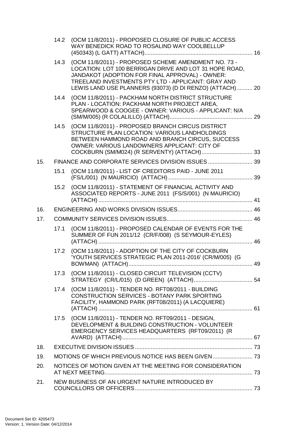|     |      | 14.2 (OCM 11/8/2011) - PROPOSED CLOSURE OF PUBLIC ACCESS<br>WAY BENEDICK ROAD TO ROSALIND WAY COOLBELLUP                                                                                                                                                                                 |    |
|-----|------|------------------------------------------------------------------------------------------------------------------------------------------------------------------------------------------------------------------------------------------------------------------------------------------|----|
|     |      | 14.3 (OCM 11/8/2011) - PROPOSED SCHEME AMENDMENT NO. 73 -<br>LOCATION: LOT 100 BERRIGAN DRIVE AND LOT 31 HOPE ROAD,<br>JANDAKOT (ADOPTION FOR FINAL APPROVAL) - OWNER:<br>TREELAND INVESTMENTS PTY LTD - APPLICANT: GRAY AND<br>LEWIS LAND USE PLANNERS (93073) (D DI RENZO) (ATTACH) 20 |    |
|     | 14.4 | (OCM 11/8/2011) - PACKHAM NORTH DISTRICT STRUCTURE<br>PLAN - LOCATION: PACKHAM NORTH PROJECT AREA,<br>SPEARWOOD & COOGEE - OWNER: VARIOUS - APPLICANT: N/A                                                                                                                               |    |
|     | 14.5 | (OCM 11/8/2011) - PROPOSED BRANCH CIRCUS DISTRICT<br>STRUCTURE PLAN LOCATION: VARIOUS LANDHOLDINGS<br>BETWEEN HAMMOND ROAD AND BRANCH CIRCUS, SUCCESS<br>OWNER: VARIOUS LANDOWNERS APPLICANT: CITY OF                                                                                    |    |
| 15. |      |                                                                                                                                                                                                                                                                                          |    |
|     | 15.1 | (OCM 11/8/2011) - LIST OF CREDITORS PAID - JUNE 2011                                                                                                                                                                                                                                     |    |
|     | 15.2 | (OCM 11/8/2011) - STATEMENT OF FINANCIAL ACTIVITY AND<br>ASSOCIATED REPORTS - JUNE 2011 (FS/S/001) (N MAURICIO)                                                                                                                                                                          |    |
| 16. |      |                                                                                                                                                                                                                                                                                          |    |
| 17. |      |                                                                                                                                                                                                                                                                                          |    |
|     | 17.1 | (OCM 11/8/2011) - PROPOSED CALENDAR OF EVENTS FOR THE<br>SUMMER OF FUN 2011/12 (CR/F/008) (S SEYMOUR-EYLES)                                                                                                                                                                              |    |
|     | 17.2 | (OCM 11/8/2011) - ADOPTION OF THE CITY OF COCKBURN<br>'YOUTH SERVICES STRATEGIC PLAN 2011-2016' (CR/M/005) (G                                                                                                                                                                            | 49 |
|     | 17.3 | (OCM 11/8/2011) - CLOSED CIRCUIT TELEVISION (CCTV)                                                                                                                                                                                                                                       |    |
|     | 17.4 | (OCM 11/8/2011) - TENDER NO. RFT08/2011 - BUILDING<br><b>CONSTRUCTION SERVICES - BOTANY PARK SPORTING</b><br>FACILITY, HAMMOND PARK (RFT08/2011) (A LACQUIERE)                                                                                                                           |    |
|     | 17.5 | (OCM 11/8/2011) - TENDER NO. RFT09/2011 - DESIGN,<br>DEVELOPMENT & BUILDING CONSTRUCTION - VOLUNTEER<br>EMERGENCY SERVICES HEADQUARTERS (RFT09/2011) (R                                                                                                                                  |    |
| 18. |      |                                                                                                                                                                                                                                                                                          |    |
| 19. |      |                                                                                                                                                                                                                                                                                          |    |
| 20. |      | NOTICES OF MOTION GIVEN AT THE MEETING FOR CONSIDERATION                                                                                                                                                                                                                                 |    |
| 21. |      | NEW BUSINESS OF AN URGENT NATURE INTRODUCED BY                                                                                                                                                                                                                                           |    |
|     |      |                                                                                                                                                                                                                                                                                          |    |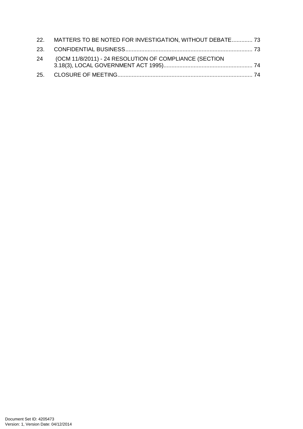| 22. MATTERS TO BE NOTED FOR INVESTIGATION, WITHOUT DEBATE 73 |  |
|--------------------------------------------------------------|--|
|                                                              |  |
| 24 (OCM 11/8/2011) - 24 RESOLUTION OF COMPLIANCE (SECTION    |  |
|                                                              |  |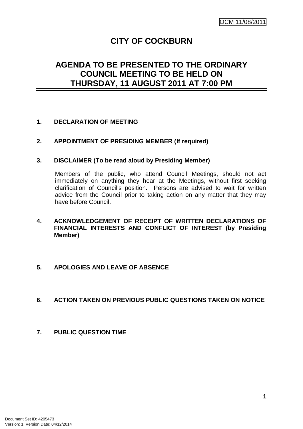# **CITY OF COCKBURN**

# **AGENDA TO BE PRESENTED TO THE ORDINARY COUNCIL MEETING TO BE HELD ON THURSDAY, 11 AUGUST 2011 AT 7:00 PM**

# **1. DECLARATION OF MEETING**

## **2. APPOINTMENT OF PRESIDING MEMBER (If required)**

## **3. DISCLAIMER (To be read aloud by Presiding Member)**

Members of the public, who attend Council Meetings, should not act immediately on anything they hear at the Meetings, without first seeking clarification of Council's position. Persons are advised to wait for written advice from the Council prior to taking action on any matter that they may have before Council.

# **4. ACKNOWLEDGEMENT OF RECEIPT OF WRITTEN DECLARATIONS OF FINANCIAL INTERESTS AND CONFLICT OF INTEREST (by Presiding Member)**

## **5. APOLOGIES AND LEAVE OF ABSENCE**

## **6. ACTION TAKEN ON PREVIOUS PUBLIC QUESTIONS TAKEN ON NOTICE**

**7. PUBLIC QUESTION TIME**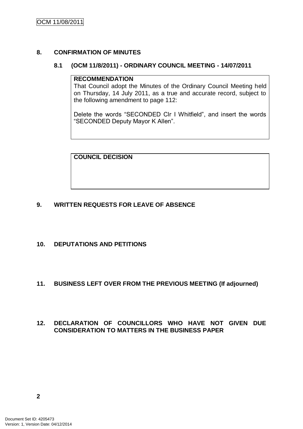# **8. CONFIRMATION OF MINUTES**

## **8.1 (OCM 11/8/2011) - ORDINARY COUNCIL MEETING - 14/07/2011**

#### **RECOMMENDATION**

That Council adopt the Minutes of the Ordinary Council Meeting held on Thursday, 14 July 2011, as a true and accurate record, subject to the following amendment to page 112:

Delete the words "SECONDED Clr I Whitfield", and insert the words "SECONDED Deputy Mayor K Allen".

**COUNCIL DECISION**

# **9. WRITTEN REQUESTS FOR LEAVE OF ABSENCE**

# **10. DEPUTATIONS AND PETITIONS**

# **11. BUSINESS LEFT OVER FROM THE PREVIOUS MEETING (If adjourned)**

# **12. DECLARATION OF COUNCILLORS WHO HAVE NOT GIVEN DUE CONSIDERATION TO MATTERS IN THE BUSINESS PAPER**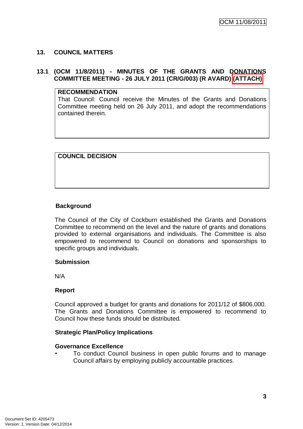# **13. COUNCIL MATTERS**

#### **13.1 (OCM 11/8/2011) - MINUTES OF THE GRANTS AND DONATIONS COMMITTEE MEETING - 26 JULY 2011 (CR/G/003) (R AVARD) (ATTACH)**

## **RECOMMENDATION**

That Council: Council receive the Minutes of the Grants and Donations Committee meeting held on 26 July 2011, and adopt the recommendations contained therein.

**COUNCIL DECISION**

# **Background**

The Council of the City of Cockburn established the Grants and Donations Committee to recommend on the level and the nature of grants and donations provided to external organisations and individuals. The Committee is also empowered to recommend to Council on donations and sponsorships to specific groups and individuals.

## **Submission**

N/A

## **Report**

Council approved a budget for grants and donations for 2011/12 of \$806,000. The Grants and Donations Committee is empowered to recommend to Council how these funds should be distributed.

## **Strategic Plan/Policy Implications**

## **Governance Excellence**

• To conduct Council business in open public forums and to manage Council affairs by employing publicly accountable practices.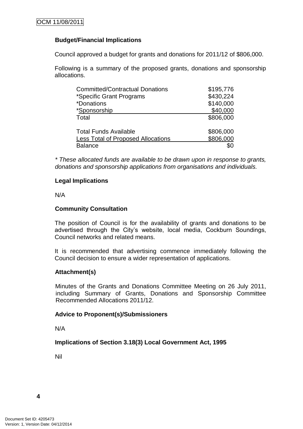# **Budget/Financial Implications**

Council approved a budget for grants and donations for 2011/12 of \$806,000.

Following is a summary of the proposed grants, donations and sponsorship allocations.

| <b>Committed/Contractual Donations</b>    | \$195,776 |
|-------------------------------------------|-----------|
| *Specific Grant Programs                  | \$430,224 |
| <i>*Donations</i>                         | \$140,000 |
| *Sponsorship                              | \$40,000  |
| Total                                     | \$806,000 |
| <b>Total Funds Available</b>              | \$806,000 |
| <b>Less Total of Proposed Allocations</b> | \$806,000 |
| <b>Balance</b>                            |           |

*\* These allocated funds are available to be drawn upon in response to grants, donations and sponsorship applications from organisations and individuals.*

## **Legal Implications**

N/A

## **Community Consultation**

The position of Council is for the availability of grants and donations to be advertised through the City"s website, local media, Cockburn Soundings, Council networks and related means.

It is recommended that advertising commence immediately following the Council decision to ensure a wider representation of applications.

## **Attachment(s)**

Minutes of the Grants and Donations Committee Meeting on 26 July 2011, including Summary of Grants, Donations and Sponsorship Committee Recommended Allocations 2011/12.

#### **Advice to Proponent(s)/Submissioners**

N/A

**Implications of Section 3.18(3) Local Government Act, 1995**

Nil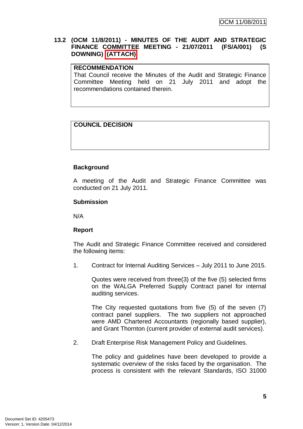## **13.2 (OCM 11/8/2011) - MINUTES OF THE AUDIT AND STRATEGIC FINANCE COMMITTEE MEETING - 21/07/2011 (FS/A/001) (S DOWNING) (ATTACH)**

#### **RECOMMENDATION**

That Council receive the Minutes of the Audit and Strategic Finance Committee Meeting held on 21 July 2011 and adopt the recommendations contained therein.

# **COUNCIL DECISION**

# **Background**

A meeting of the Audit and Strategic Finance Committee was conducted on 21 July 2011.

#### **Submission**

N/A

## **Report**

The Audit and Strategic Finance Committee received and considered the following items:

1. Contract for Internal Auditing Services – July 2011 to June 2015.

Quotes were received from three(3) of the five (5) selected firms on the WALGA Preferred Supply Contract panel for internal auditing services.

The City requested quotations from five (5) of the seven (7) contract panel suppliers. The two suppliers not approached were AMD Chartered Accountants (regionally based supplier). and Grant Thornton (current provider of external audit services).

2. Draft Enterprise Risk Management Policy and Guidelines.

The policy and guidelines have been developed to provide a systematic overview of the risks faced by the organisation. The process is consistent with the relevant Standards, ISO 31000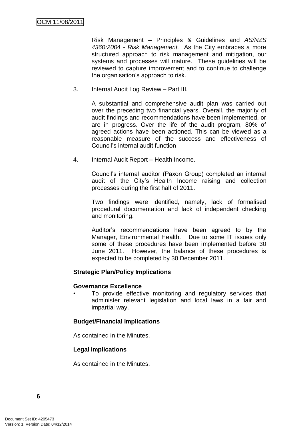Risk Management – Principles & Guidelines and *AS/NZS 4360:2004 - Risk Management.* As the City embraces a more structured approach to risk management and mitigation, our systems and processes will mature. These guidelines will be reviewed to capture improvement and to continue to challenge the organisation"s approach to risk.

3. Internal Audit Log Review – Part III.

A substantial and comprehensive audit plan was carried out over the preceding two financial years. Overall, the majority of audit findings and recommendations have been implemented, or are in progress. Over the life of the audit program, 80% of agreed actions have been actioned. This can be viewed as a reasonable measure of the success and effectiveness of Council"s internal audit function

4. Internal Audit Report – Health Income.

Council"s internal auditor (Paxon Group) completed an internal audit of the City"s Health Income raising and collection processes during the first half of 2011.

Two findings were identified, namely, lack of formalised procedural documentation and lack of independent checking and monitoring.

Auditor"s recommendations have been agreed to by the Manager, Environmental Health. Due to some IT issues only some of these procedures have been implemented before 30 June 2011. However, the balance of these procedures is expected to be completed by 30 December 2011.

## **Strategic Plan/Policy Implications**

#### **Governance Excellence**

To provide effective monitoring and regulatory services that administer relevant legislation and local laws in a fair and impartial way.

## **Budget/Financial Implications**

As contained in the Minutes.

#### **Legal Implications**

As contained in the Minutes.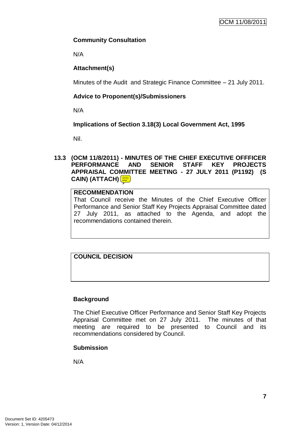# **Community Consultation**

N/A

# **Attachment(s)**

Minutes of the Audit and Strategic Finance Committee – 21 July 2011.

# **Advice to Proponent(s)/Submissioners**

N/A

# **Implications of Section 3.18(3) Local Government Act, 1995**

Nil.

## **13.3 (OCM 11/8/2011) - MINUTES OF THE CHIEF EXECUTIVE OFFFICER PERFORMANCE AND SENIOR STAFF KEY PROJECTS APPRAISAL COMMITTEE MEETING - 27 JULY 2011 (P1192) (S CAIN) (ATTACH)**

# **RECOMMENDATION**

That Council receive the Minutes of the Chief Executive Officer Performance and Senior Staff Key Projects Appraisal Committee dated 27 July 2011, as attached to the Agenda, and adopt the recommendations contained therein.

# **COUNCIL DECISION**

# **Background**

The Chief Executive Officer Performance and Senior Staff Key Projects Appraisal Committee met on 27 July 2011. The minutes of that meeting are required to be presented to Council and its recommendations considered by Council.

# **Submission**

N/A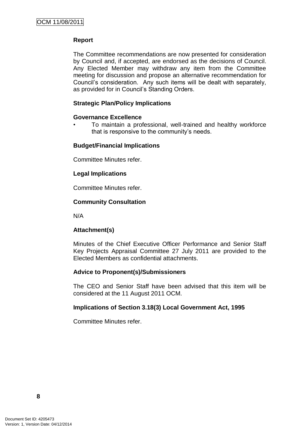# **Report**

The Committee recommendations are now presented for consideration by Council and, if accepted, are endorsed as the decisions of Council. Any Elected Member may withdraw any item from the Committee meeting for discussion and propose an alternative recommendation for Council"s consideration. Any such items will be dealt with separately, as provided for in Council"s Standing Orders.

# **Strategic Plan/Policy Implications**

#### **Governance Excellence**

• To maintain a professional, well-trained and healthy workforce that is responsive to the community"s needs.

#### **Budget/Financial Implications**

Committee Minutes refer.

## **Legal Implications**

Committee Minutes refer.

## **Community Consultation**

N/A

## **Attachment(s)**

Minutes of the Chief Executive Officer Performance and Senior Staff Key Projects Appraisal Committee 27 July 2011 are provided to the Elected Members as confidential attachments.

## **Advice to Proponent(s)/Submissioners**

The CEO and Senior Staff have been advised that this item will be considered at the 11 August 2011 OCM.

## **Implications of Section 3.18(3) Local Government Act, 1995**

Committee Minutes refer.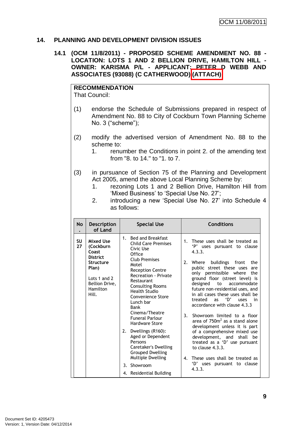#### **14. PLANNING AND DEVELOPMENT DIVISION ISSUES**

## **14.1 (OCM 11/8/2011) - PROPOSED SCHEME AMENDMENT NO. 88 - LOCATION: LOTS 1 AND 2 BELLION DRIVE, HAMILTON HILL - OWNER: KARISMA P/L - APPLICANT: PETER D WEBB AND ASSOCIATES (93088) (C CATHERWOOD) (ATTACH)**

# **RECOMMENDATION**

That Council:

- (1) endorse the Schedule of Submissions prepared in respect of Amendment No. 88 to City of Cockburn Town Planning Scheme No. 3 ("scheme");
- (2) modify the advertised version of Amendment No. 88 to the scheme to:
	- 1. renumber the Conditions in point 2. of the amending text from "8. to 14." to "1. to 7.
- (3) in pursuance of Section 75 of the Planning and Development Act 2005, amend the above Local Planning Scheme by:
	- 1. rezoning Lots 1 and 2 Bellion Drive, Hamilton Hill from 'Mixed Business' to 'Special Use No. 27';
	- 2. introducing a new "Special Use No. 27" into Schedule 4 as follows:

| No       | <b>Description</b><br>of Land                                                                                                   | <b>Special Use</b>                                                                                                                                                                                                                                                                                                                                                                                                                                                                                                          | <b>Conditions</b>                                                                                                                                                                                                                                                                                                                                                                                                                                                                                                                                                                                                                                                                                                                         |
|----------|---------------------------------------------------------------------------------------------------------------------------------|-----------------------------------------------------------------------------------------------------------------------------------------------------------------------------------------------------------------------------------------------------------------------------------------------------------------------------------------------------------------------------------------------------------------------------------------------------------------------------------------------------------------------------|-------------------------------------------------------------------------------------------------------------------------------------------------------------------------------------------------------------------------------------------------------------------------------------------------------------------------------------------------------------------------------------------------------------------------------------------------------------------------------------------------------------------------------------------------------------------------------------------------------------------------------------------------------------------------------------------------------------------------------------------|
| SU<br>27 | Mixed Use<br>(Cockburn<br>Coast<br><b>District</b><br>Structure<br>Plan)<br>Lots 1 and 2<br>Bellion Drive,<br>Hamilton<br>Hill. | <b>Bed and Breakfast</b><br>$1_{-}$<br><b>Child Care Premises</b><br>Civic Use<br>Office<br><b>Club Premises</b><br>Motel<br><b>Reception Centre</b><br>Recreation - Private<br>Restaurant<br><b>Consulting Rooms</b><br>Health Studio<br>Convenience Store<br>Lunch bar<br>Bank<br>Cinema/Theatre<br><b>Funeral Parlour</b><br>Hardware Store<br>Dwellings (R160):<br>2.<br>Aged or Dependent<br>Persons<br>Caretaker's Dwelling<br><b>Grouped Dwelling</b><br>Multiple Dwelling<br>3. Showroom<br>4. Residential Building | 1. These uses shall be treated as<br>'P' uses pursuant to clause<br>4.3.3.<br>2.<br>Where buildings front<br>the<br>public street these uses<br>are<br>only permissible where<br>the<br>ground floor (street level) is<br>designed to<br>accommodate<br>future non-residential uses, and<br>in all cases these uses shall be<br>D'<br>treated<br>as<br>in<br>uses<br>accordance with clause 4.3.3<br>3 <sub>1</sub><br>Showroom limited to a floor<br>area of 750m <sup>2</sup> as a stand alone<br>development unless it is part<br>of a comprehensive mixed use<br>development, and<br>shall<br>be<br>treated as a 'D' use pursuant<br>to clause $4.3.3.$<br>4. These uses shall be treated as<br>'D' uses pursuant to clause<br>4.3.3. |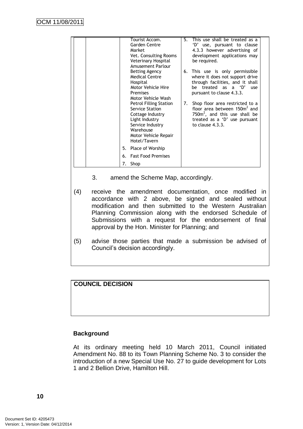|    | Tourist Accom.                                                                                                                                                  | 5. | This use shall be treated as a                                                                                                                                         |
|----|-----------------------------------------------------------------------------------------------------------------------------------------------------------------|----|------------------------------------------------------------------------------------------------------------------------------------------------------------------------|
|    | Garden Centre<br>Market                                                                                                                                         |    | 'D' use, pursuant to clause<br>4.3.3 however advertising of                                                                                                            |
|    | Vet. Consulting Rooms<br>Veterinary Hospital<br>Amusement Parlour                                                                                               |    | development applications may<br>be required.                                                                                                                           |
|    | <b>Betting Agency</b><br><b>Medical Centre</b><br>Hospital<br>Motor Vehicle Hire<br><b>Premises</b><br>Motor Vehicle Wash                                       | 6. | This use is only permissible<br>where it does not support drive<br>through facilities, and it shall<br>be treated as a 'D'<br>use<br>pursuant to clause 4.3.3.         |
|    | <b>Petrol Filling Station</b><br>Service Station<br>Cottage Industry<br>Light Industry<br>Service Industry<br>Warehouse<br>Motor Vehicle Repair<br>Hotel/Tavern | 7. | Shop floor area restricted to a<br>floor area between 150m <sup>2</sup> and<br>750 $m2$ , and this use shall be<br>treated as a 'D' use pursuant<br>to clause $4.3.3.$ |
|    | 5. Place of Worship                                                                                                                                             |    |                                                                                                                                                                        |
|    | 6. Fast Food Premises                                                                                                                                           |    |                                                                                                                                                                        |
| 7. | Shop                                                                                                                                                            |    |                                                                                                                                                                        |

- 3. amend the Scheme Map, accordingly.
- (4) receive the amendment documentation, once modified in accordance with 2 above, be signed and sealed without modification and then submitted to the Western Australian Planning Commission along with the endorsed Schedule of Submissions with a request for the endorsement of final approval by the Hon. Minister for Planning; and
- (5) advise those parties that made a submission be advised of Council"s decision accordingly.

# **COUNCIL DECISION**

#### **Background**

At its ordinary meeting held 10 March 2011, Council initiated Amendment No. 88 to its Town Planning Scheme No. 3 to consider the introduction of a new Special Use No. 27 to guide development for Lots 1 and 2 Bellion Drive, Hamilton Hill.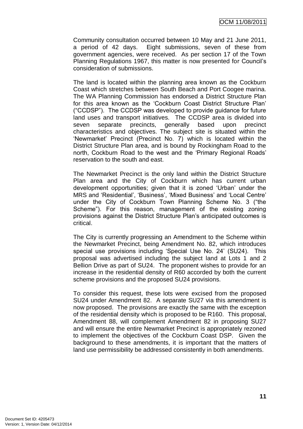Community consultation occurred between 10 May and 21 June 2011, a period of 42 days. Eight submissions, seven of these from government agencies, were received. As per section 17 of the Town Planning Regulations 1967, this matter is now presented for Council"s consideration of submissions.

The land is located within the planning area known as the Cockburn Coast which stretches between South Beach and Port Coogee marina. The WA Planning Commission has endorsed a District Structure Plan for this area known as the "Cockburn Coast District Structure Plan" ("CCDSP"). The CCDSP was developed to provide guidance for future land uses and transport initiatives. The CCDSP area is divided into seven separate precincts, generally based upon precinct characteristics and objectives. The subject site is situated within the "Newmarket" Precinct (Precinct No. 7) which is located within the District Structure Plan area, and is bound by Rockingham Road to the north, Cockburn Road to the west and the "Primary Regional Roads" reservation to the south and east.

The Newmarket Precinct is the only land within the District Structure Plan area and the City of Cockburn which has current urban development opportunities; given that it is zoned "Urban" under the MRS and "Residential", "Business", "Mixed Business" and "Local Centre" under the City of Cockburn Town Planning Scheme No. 3 ("the Scheme"). For this reason, management of the existing zoning provisions against the District Structure Plan"s anticipated outcomes is critical.

The City is currently progressing an Amendment to the Scheme within the Newmarket Precinct, being Amendment No. 82, which introduces special use provisions including "Special Use No. 24" (SU24). This proposal was advertised including the subject land at Lots 1 and 2 Bellion Drive as part of SU24. The proponent wishes to provide for an increase in the residential density of R60 accorded by both the current scheme provisions and the proposed SU24 provisions.

To consider this request, these lots were excised from the proposed SU24 under Amendment 82. A separate SU27 via this amendment is now proposed. The provisions are exactly the same with the exception of the residential density which is proposed to be R160. This proposal, Amendment 88, will complement Amendment 82 in proposing SU27 and will ensure the entire Newmarket Precinct is appropriately rezoned to implement the objectives of the Cockburn Coast DSP. Given the background to these amendments, it is important that the matters of land use permissibility be addressed consistently in both amendments.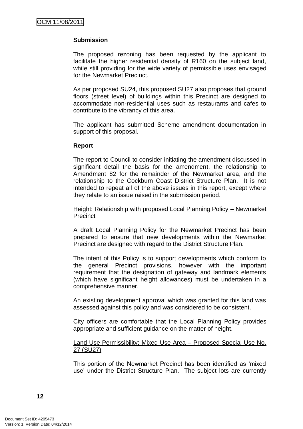## **Submission**

The proposed rezoning has been requested by the applicant to facilitate the higher residential density of R160 on the subject land, while still providing for the wide variety of permissible uses envisaged for the Newmarket Precinct.

As per proposed SU24, this proposed SU27 also proposes that ground floors (street level) of buildings within this Precinct are designed to accommodate non-residential uses such as restaurants and cafes to contribute to the vibrancy of this area.

The applicant has submitted Scheme amendment documentation in support of this proposal.

## **Report**

The report to Council to consider initiating the amendment discussed in significant detail the basis for the amendment, the relationship to Amendment 82 for the remainder of the Newmarket area, and the relationship to the Cockburn Coast District Structure Plan. It is not intended to repeat all of the above issues in this report, except where they relate to an issue raised in the submission period.

#### Height: Relationship with proposed Local Planning Policy – Newmarket **Precinct**

A draft Local Planning Policy for the Newmarket Precinct has been prepared to ensure that new developments within the Newmarket Precinct are designed with regard to the District Structure Plan.

The intent of this Policy is to support developments which conform to the general Precinct provisions, however with the important requirement that the designation of gateway and landmark elements (which have significant height allowances) must be undertaken in a comprehensive manner.

An existing development approval which was granted for this land was assessed against this policy and was considered to be consistent.

City officers are comfortable that the Local Planning Policy provides appropriate and sufficient guidance on the matter of height.

## Land Use Permissibility: Mixed Use Area – Proposed Special Use No. 27 (SU27)

This portion of the Newmarket Precinct has been identified as "mixed use' under the District Structure Plan. The subject lots are currently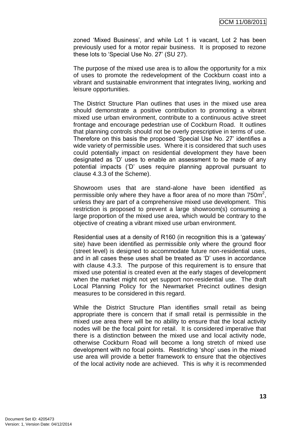zoned "Mixed Business", and while Lot 1 is vacant, Lot 2 has been previously used for a motor repair business. It is proposed to rezone these lots to "Special Use No. 27" (SU 27).

The purpose of the mixed use area is to allow the opportunity for a mix of uses to promote the redevelopment of the Cockburn coast into a vibrant and sustainable environment that integrates living, working and leisure opportunities.

The District Structure Plan outlines that uses in the mixed use area should demonstrate a positive contribution to promoting a vibrant mixed use urban environment, contribute to a continuous active street frontage and encourage pedestrian use of Cockburn Road. It outlines that planning controls should not be overly prescriptive in terms of use. Therefore on this basis the proposed "Special Use No. 27" identifies a wide variety of permissible uses. Where it is considered that such uses could potentially impact on residential development they have been designated as "D" uses to enable an assessment to be made of any potential impacts ("D" uses require planning approval pursuant to clause 4.3.3 of the Scheme).

Showroom uses that are stand-alone have been identified as permissible only where they have a floor area of no more than  $750m^2$ , unless they are part of a comprehensive mixed use development. This restriction is proposed to prevent a large showroom(s) consuming a large proportion of the mixed use area, which would be contrary to the objective of creating a vibrant mixed use urban environment.

Residential uses at a density of R160 (in recognition this is a "gateway" site) have been identified as permissible only where the ground floor (street level) is designed to accommodate future non-residential uses, and in all cases these uses shall be treated as "D" uses in accordance with clause 4.3.3. The purpose of this requirement is to ensure that mixed use potential is created even at the early stages of development when the market might not yet support non-residential use. The draft Local Planning Policy for the Newmarket Precinct outlines design measures to be considered in this regard.

While the District Structure Plan identifies small retail as being appropriate there is concern that if small retail is permissible in the mixed use area there will be no ability to ensure that the local activity nodes will be the focal point for retail. It is considered imperative that there is a distinction between the mixed use and local activity node, otherwise Cockburn Road will become a long stretch of mixed use development with no focal points. Restricting "shop" uses in the mixed use area will provide a better framework to ensure that the objectives of the local activity node are achieved. This is why it is recommended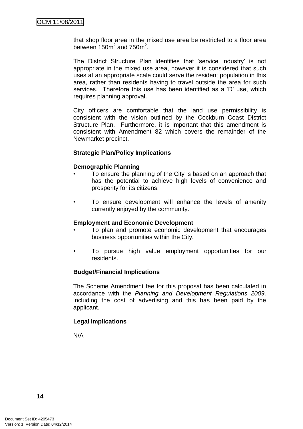that shop floor area in the mixed use area be restricted to a floor area between  $150m^2$  and  $750m^2$ .

The District Structure Plan identifies that "service industry" is not appropriate in the mixed use area, however it is considered that such uses at an appropriate scale could serve the resident population in this area, rather than residents having to travel outside the area for such services. Therefore this use has been identified as a "D" use, which requires planning approval.

City officers are comfortable that the land use permissibility is consistent with the vision outlined by the Cockburn Coast District Structure Plan. Furthermore, it is important that this amendment is consistent with Amendment 82 which covers the remainder of the Newmarket precinct.

#### **Strategic Plan/Policy Implications**

#### **Demographic Planning**

- To ensure the planning of the City is based on an approach that has the potential to achieve high levels of convenience and prosperity for its citizens.
- To ensure development will enhance the levels of amenity currently enjoyed by the community.

#### **Employment and Economic Development**

- To plan and promote economic development that encourages business opportunities within the City.
- To pursue high value employment opportunities for our residents.

## **Budget/Financial Implications**

The Scheme Amendment fee for this proposal has been calculated in accordance with the *Planning and Development Regulations 2009,*  including the cost of advertising and this has been paid by the applicant.

## **Legal Implications**

N/A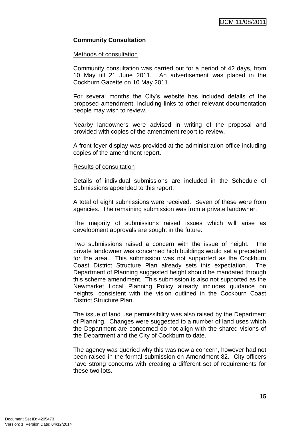## **Community Consultation**

#### Methods of consultation

Community consultation was carried out for a period of 42 days, from 10 May till 21 June 2011. An advertisement was placed in the Cockburn Gazette on 10 May 2011.

For several months the City"s website has included details of the proposed amendment, including links to other relevant documentation people may wish to review.

Nearby landowners were advised in writing of the proposal and provided with copies of the amendment report to review.

A front foyer display was provided at the administration office including copies of the amendment report.

#### Results of consultation

Details of individual submissions are included in the Schedule of Submissions appended to this report.

A total of eight submissions were received. Seven of these were from agencies. The remaining submission was from a private landowner.

The majority of submissions raised issues which will arise as development approvals are sought in the future.

Two submissions raised a concern with the issue of height. The private landowner was concerned high buildings would set a precedent for the area. This submission was not supported as the Cockburn Coast District Structure Plan already sets this expectation. The Department of Planning suggested height should be mandated through this scheme amendment. This submission is also not supported as the Newmarket Local Planning Policy already includes guidance on heights, consistent with the vision outlined in the Cockburn Coast District Structure Plan.

The issue of land use permissibility was also raised by the Department of Planning. Changes were suggested to a number of land uses which the Department are concerned do not align with the shared visions of the Department and the City of Cockburn to date.

The agency was queried why this was now a concern, however had not been raised in the formal submission on Amendment 82. City officers have strong concerns with creating a different set of requirements for these two lots.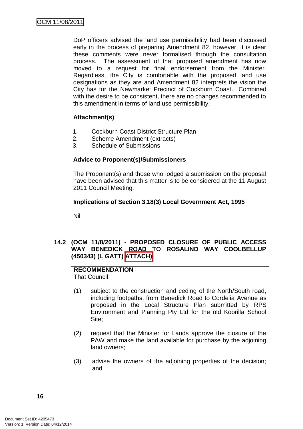DoP officers advised the land use permissibility had been discussed early in the process of preparing Amendment 82, however, it is clear these comments were never formalised through the consultation process. The assessment of that proposed amendment has now moved to a request for final endorsement from the Minister. Regardless, the City is comfortable with the proposed land use designations as they are and Amendment 82 interprets the vision the City has for the Newmarket Precinct of Cockburn Coast. Combined with the desire to be consistent, there are no changes recommended to this amendment in terms of land use permissibility.

## **Attachment(s)**

- 1. Cockburn Coast District Structure Plan
- 2. Scheme Amendment (extracts)
- 3. Schedule of Submissions

#### **Advice to Proponent(s)/Submissioners**

The Proponent(s) and those who lodged a submission on the proposal have been advised that this matter is to be considered at the 11 August 2011 Council Meeting.

#### **Implications of Section 3.18(3) Local Government Act, 1995**

Nil

## **14.2 (OCM 11/8/2011) - PROPOSED CLOSURE OF PUBLIC ACCESS WAY BENEDICK ROAD TO ROSALIND WAY COOLBELLUP (450343) (L GATT) ATTACH)**

# **RECOMMENDATION**

That Council:

- (1) subject to the construction and ceding of the North/South road, including footpaths, from Benedick Road to Cordelia Avenue as proposed in the Local Structure Plan submitted by RPS Environment and Planning Pty Ltd for the old Koorilla School Site;
- (2) request that the Minister for Lands approve the closure of the PAW and make the land available for purchase by the adjoining land owners;
- (3) advise the owners of the adjoining properties of the decision; and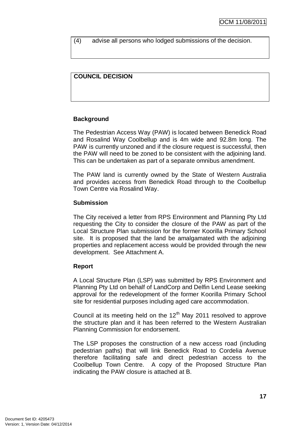(4) advise all persons who lodged submissions of the decision.

# **COUNCIL DECISION**

## **Background**

The Pedestrian Access Way (PAW) is located between Benedick Road and Rosalind Way Coolbellup and is 4m wide and 92.8m long. The PAW is currently unzoned and if the closure request is successful, then the PAW will need to be zoned to be consistent with the adjoining land. This can be undertaken as part of a separate omnibus amendment.

The PAW land is currently owned by the State of Western Australia and provides access from Benedick Road through to the Coolbellup Town Centre via Rosalind Way.

#### **Submission**

The City received a letter from RPS Environment and Planning Pty Ltd requesting the City to consider the closure of the PAW as part of the Local Structure Plan submission for the former Koorilla Primary School site. It is proposed that the land be amalgamated with the adjoining properties and replacement access would be provided through the new development. See Attachment A.

#### **Report**

A Local Structure Plan (LSP) was submitted by RPS Environment and Planning Pty Ltd on behalf of LandCorp and Delfin Lend Lease seeking approval for the redevelopment of the former Koorilla Primary School site for residential purposes including aged care accommodation.

Council at its meeting held on the  $12<sup>th</sup>$  May 2011 resolved to approve the structure plan and it has been referred to the Western Australian Planning Commission for endorsement.

The LSP proposes the construction of a new access road (including pedestrian paths) that will link Benedick Road to Cordelia Avenue therefore facilitating safe and direct pedestrian access to the Coolbellup Town Centre. A copy of the Proposed Structure Plan indicating the PAW closure is attached at B.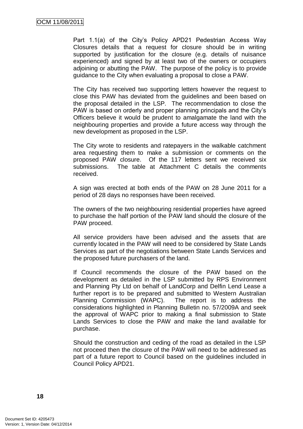Part 1.1(a) of the City's Policy APD21 Pedestrian Access Way Closures details that a request for closure should be in writing supported by justification for the closure (e.g. details of nuisance experienced) and signed by at least two of the owners or occupiers adjoining or abutting the PAW. The purpose of the policy is to provide guidance to the City when evaluating a proposal to close a PAW.

The City has received two supporting letters however the request to close this PAW has deviated from the guidelines and been based on the proposal detailed in the LSP. The recommendation to close the PAW is based on orderly and proper planning principals and the City"s Officers believe it would be prudent to amalgamate the land with the neighbouring properties and provide a future access way through the new development as proposed in the LSP.

The City wrote to residents and ratepayers in the walkable catchment area requesting them to make a submission or comments on the proposed PAW closure. Of the 117 letters sent we received six submissions. The table at Attachment C details the comments received.

A sign was erected at both ends of the PAW on 28 June 2011 for a period of 28 days no responses have been received.

The owners of the two neighbouring residential properties have agreed to purchase the half portion of the PAW land should the closure of the PAW proceed.

All service providers have been advised and the assets that are currently located in the PAW will need to be considered by State Lands Services as part of the negotiations between State Lands Services and the proposed future purchasers of the land.

If Council recommends the closure of the PAW based on the development as detailed in the LSP submitted by RPS Environment and Planning Pty Ltd on behalf of LandCorp and Delfin Lend Lease a further report is to be prepared and submitted to Western Australian Planning Commission (WAPC). The report is to address the considerations highlighted in Planning Bulletin no. 57/2009A and seek the approval of WAPC prior to making a final submission to State Lands Services to close the PAW and make the land available for purchase.

Should the construction and ceding of the road as detailed in the LSP not proceed then the closure of the PAW will need to be addressed as part of a future report to Council based on the guidelines included in Council Policy APD21.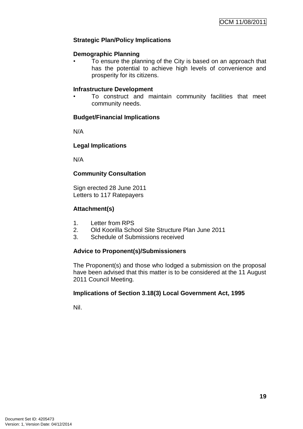## **Strategic Plan/Policy Implications**

#### **Demographic Planning**

• To ensure the planning of the City is based on an approach that has the potential to achieve high levels of convenience and prosperity for its citizens.

#### **Infrastructure Development**

• To construct and maintain community facilities that meet community needs.

#### **Budget/Financial Implications**

N/A

#### **Legal Implications**

N/A

## **Community Consultation**

Sign erected 28 June 2011 Letters to 117 Ratepayers

#### **Attachment(s)**

- 1. Letter from RPS
- 2. Old Koorilla School Site Structure Plan June 2011
- 3. Schedule of Submissions received

## **Advice to Proponent(s)/Submissioners**

The Proponent(s) and those who lodged a submission on the proposal have been advised that this matter is to be considered at the 11 August 2011 Council Meeting.

## **Implications of Section 3.18(3) Local Government Act, 1995**

Nil.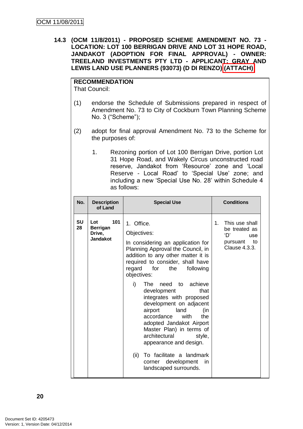**14.3 (OCM 11/8/2011) - PROPOSED SCHEME AMENDMENT NO. 73 - LOCATION: LOT 100 BERRIGAN DRIVE AND LOT 31 HOPE ROAD, JANDAKOT (ADOPTION FOR FINAL APPROVAL) - OWNER: TREELAND INVESTMENTS PTY LTD - APPLICANT: GRAY AND LEWIS LAND USE PLANNERS (93073) (D DI RENZO) (ATTACH)**

**RECOMMENDATION** That Council:

- (1) endorse the Schedule of Submissions prepared in respect of Amendment No. 73 to City of Cockburn Town Planning Scheme No. 3 ("Scheme");
- (2) adopt for final approval Amendment No. 73 to the Scheme for the purposes of:
	- 1. Rezoning portion of Lot 100 Berrigan Drive, portion Lot 31 Hope Road, and Wakely Circus unconstructed road reserve, Jandakot from "Resource" zone and "Local Reserve - Local Road' to 'Special Use' zone; and including a new "Special Use No. 28" within Schedule 4 as follows:

| No.<br><b>Description</b><br><b>Special Use</b><br>of Land                                                                                                                                                                                                                                                                                                                                                                                                                                                                                                                                                                       | <b>Conditions</b>                                                                                                                            |
|----------------------------------------------------------------------------------------------------------------------------------------------------------------------------------------------------------------------------------------------------------------------------------------------------------------------------------------------------------------------------------------------------------------------------------------------------------------------------------------------------------------------------------------------------------------------------------------------------------------------------------|----------------------------------------------------------------------------------------------------------------------------------------------|
| SU<br>Lot<br>101<br>1. Office.<br>28<br><b>Berrigan</b><br>Objectives:<br>Drive,<br><b>Jandakot</b><br>In considering an application for<br>Planning Approval the Council, in<br>addition to any other matter it is<br>required to consider, shall have<br>for<br>the<br>regard<br>objectives:<br>i)<br>The need to achieve<br>development<br>integrates with proposed<br>development on adjacent<br>airport<br>land<br>accordance<br>with<br>adopted Jandakot Airport<br>Master Plan) in terms of<br>architectural<br>appearance and design.<br>(ii)<br>To facilitate a landmark<br>corner development<br>landscaped surrounds. | This use shall<br>$1_{-}$<br>be treated as<br>ʻD'<br>use<br>pursuant to<br>Clause 4.3.3.<br>following<br>that<br>(in<br>the<br>style,<br>in. |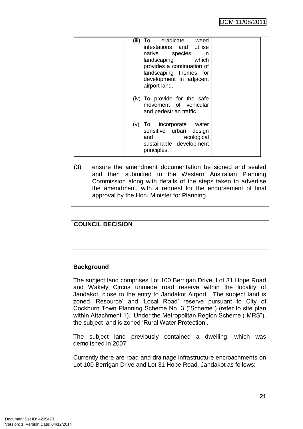| eradicate<br>weed<br>(iii)<br>To:<br>infestations and<br>utilise<br>native species<br>in<br>landscaping<br>which<br>provides a continuation of<br>landscaping themes for<br>development in adjacent<br>airport land. |
|----------------------------------------------------------------------------------------------------------------------------------------------------------------------------------------------------------------------|
| (iv) To provide for the safe<br>movement of vehicular<br>and pedestrian traffic.                                                                                                                                     |
| (v) To incorporate<br>water<br>sensitive urban<br>design<br>ecological<br>and<br>sustainable development<br>principles.                                                                                              |

(3) ensure the amendment documentation be signed and sealed and then submitted to the Western Australian Planning Commission along with details of the steps taken to advertise the amendment, with a request for the endorsement of final approval by the Hon. Minister for Planning.

# **COUNCIL DECISION**

## **Background**

The subject land comprises Lot 100 Berrigan Drive, Lot 31 Hope Road and Wakely Circus unmade road reserve within the locality of Jandakot, close to the entry to Jandakot Airport. The subject land is zoned "Resource" and "Local Road" reserve pursuant to City of Cockburn Town Planning Scheme No. 3 ("Scheme") (refer to site plan within Attachment 1). Under the Metropolitan Region Scheme ("MRS"), the subject land is zoned "Rural Water Protection".

The subject land previously contained a dwelling, which was demolished in 2007.

Currently there are road and drainage infrastructure encroachments on Lot 100 Berrigan Drive and Lot 31 Hope Road, Jandakot as follows: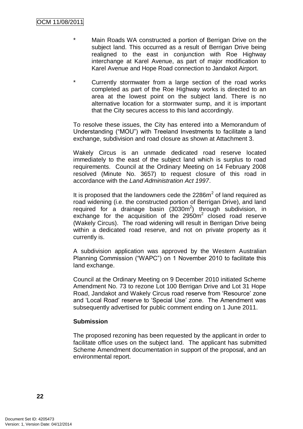- Main Roads WA constructed a portion of Berrigan Drive on the subject land. This occurred as a result of Berrigan Drive being realigned to the east in conjunction with Roe Highway interchange at Karel Avenue, as part of major modification to Karel Avenue and Hope Road connection to Jandakot Airport.
- \* Currently stormwater from a large section of the road works completed as part of the Roe Highway works is directed to an area at the lowest point on the subject land. There is no alternative location for a stormwater sump, and it is important that the City secures access to this land accordingly.

To resolve these issues, the City has entered into a Memorandum of Understanding ("MOU") with Treeland Investments to facilitate a land exchange, subdivision and road closure as shown at Attachment 3.

Wakely Circus is an unmade dedicated road reserve located immediately to the east of the subject land which is surplus to road requirements. Council at the Ordinary Meeting on 14 February 2008 resolved (Minute No. 3657) to request closure of this road in accordance with the *Land Administration Act 1997*.

It is proposed that the landowners cede the  $2286m^2$  of land required as road widening (i.e. the constructed portion of Berrigan Drive), and land required for a drainage basin  $(3030m^2)$  through subdivision, in exchange for the acquisition of the  $2950m^2$  closed road reserve (Wakely Circus). The road widening will result in Berrigan Drive being within a dedicated road reserve, and not on private property as it currently is.

A subdivision application was approved by the Western Australian Planning Commission ("WAPC") on 1 November 2010 to facilitate this land exchange.

Council at the Ordinary Meeting on 9 December 2010 initiated Scheme Amendment No. 73 to rezone Lot 100 Berrigan Drive and Lot 31 Hope Road, Jandakot and Wakely Circus road reserve from "Resource" zone and "Local Road" reserve to "Special Use" zone. The Amendment was subsequently advertised for public comment ending on 1 June 2011.

## **Submission**

The proposed rezoning has been requested by the applicant in order to facilitate office uses on the subject land. The applicant has submitted Scheme Amendment documentation in support of the proposal, and an environmental report.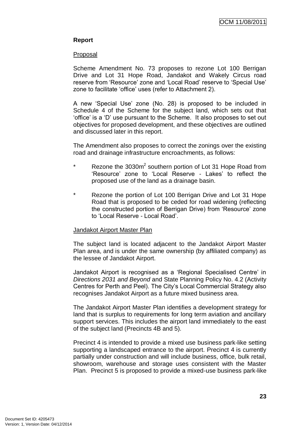## **Report**

#### Proposal

Scheme Amendment No. 73 proposes to rezone Lot 100 Berrigan Drive and Lot 31 Hope Road, Jandakot and Wakely Circus road reserve from "Resource" zone and "Local Road" reserve to "Special Use" zone to facilitate "office" uses (refer to Attachment 2).

A new "Special Use" zone (No. 28) is proposed to be included in Schedule 4 of the Scheme for the subject land, which sets out that "office" is a "D" use pursuant to the Scheme. It also proposes to set out objectives for proposed development, and these objectives are outlined and discussed later in this report.

The Amendment also proposes to correct the zonings over the existing road and drainage infrastructure encroachments, as follows:

- \* Rezone the 3030m<sup>2</sup> southern portion of Lot 31 Hope Road from 'Resource' zone to 'Local Reserve - Lakes' to reflect the proposed use of the land as a drainage basin.
- \* Rezone the portion of Lot 100 Berrigan Drive and Lot 31 Hope Road that is proposed to be ceded for road widening (reflecting the constructed portion of Berrigan Drive) from "Resource" zone to "Local Reserve - Local Road".

## Jandakot Airport Master Plan

The subject land is located adjacent to the Jandakot Airport Master Plan area, and is under the same ownership (by affiliated company) as the lessee of Jandakot Airport.

Jandakot Airport is recognised as a "Regional Specialised Centre" in *Directions 2031 and Beyond* and State Planning Policy No. 4.2 (Activity Centres for Perth and Peel). The City"s Local Commercial Strategy also recognises Jandakot Airport as a future mixed business area.

The Jandakot Airport Master Plan identifies a development strategy for land that is surplus to requirements for long term aviation and ancillary support services. This includes the airport land immediately to the east of the subject land (Precincts 4B and 5).

Precinct 4 is intended to provide a mixed use business park-like setting supporting a landscaped entrance to the airport. Precinct 4 is currently partially under construction and will include business, office, bulk retail, showroom, warehouse and storage uses consistent with the Master Plan. Precinct 5 is proposed to provide a mixed-use business park-like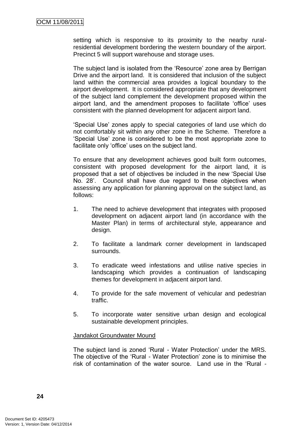setting which is responsive to its proximity to the nearby ruralresidential development bordering the western boundary of the airport. Precinct 5 will support warehouse and storage uses.

The subject land is isolated from the "Resource" zone area by Berrigan Drive and the airport land. It is considered that inclusion of the subject land within the commercial area provides a logical boundary to the airport development. It is considered appropriate that any development of the subject land complement the development proposed within the airport land, and the amendment proposes to facilitate "office" uses consistent with the planned development for adjacent airport land.

"Special Use" zones apply to special categories of land use which do not comfortably sit within any other zone in the Scheme. Therefore a "Special Use" zone is considered to be the most appropriate zone to facilitate only 'office' uses on the subject land.

To ensure that any development achieves good built form outcomes, consistent with proposed development for the airport land, it is proposed that a set of objectives be included in the new "Special Use No. 28'. Council shall have due regard to these objectives when assessing any application for planning approval on the subject land, as follows:

- 1. The need to achieve development that integrates with proposed development on adjacent airport land (in accordance with the Master Plan) in terms of architectural style, appearance and design.
- 2. To facilitate a landmark corner development in landscaped surrounds.
- 3. To eradicate weed infestations and utilise native species in landscaping which provides a continuation of landscaping themes for development in adjacent airport land.
- 4. To provide for the safe movement of vehicular and pedestrian traffic.
- 5. To incorporate water sensitive urban design and ecological sustainable development principles.

#### Jandakot Groundwater Mound

The subject land is zoned "Rural - Water Protection" under the MRS. The objective of the "Rural - Water Protection" zone is to minimise the risk of contamination of the water source. Land use in the "Rural -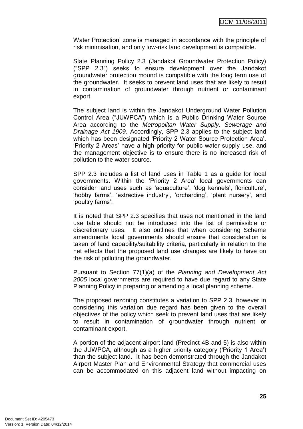Water Protection" zone is managed in accordance with the principle of risk minimisation, and only low-risk land development is compatible.

State Planning Policy 2.3 (Jandakot Groundwater Protection Policy) ("SPP 2.3") seeks to ensure development over the Jandakot groundwater protection mound is compatible with the long term use of the groundwater. It seeks to prevent land uses that are likely to result in contamination of groundwater through nutrient or contaminant export.

The subject land is within the Jandakot Underground Water Pollution Control Area ("JUWPCA") which is a Public Drinking Water Source Area according to the *Metropolitan Water Supply, Sewerage and Drainage Act 1909*. Accordingly, SPP 2.3 applies to the subject land which has been designated 'Priority 2 Water Source Protection Area'. "Priority 2 Areas" have a high priority for public water supply use, and the management objective is to ensure there is no increased risk of pollution to the water source.

SPP 2.3 includes a list of land uses in Table 1 as a guide for local governments. Within the "Priority 2 Area" local governments can consider land uses such as "aquaculture", "dog kennels", floriculture", "hobby farms', 'extractive industry', 'orcharding', 'plant nursery', and 'poultry farms'.

It is noted that SPP 2.3 specifies that uses not mentioned in the land use table should not be introduced into the list of permissible or discretionary uses. It also outlines that when considering Scheme amendments local governments should ensure that consideration is taken of land capability/suitability criteria, particularly in relation to the net effects that the proposed land use changes are likely to have on the risk of polluting the groundwater.

Pursuant to Section 77(1)(a) of the *Planning and Development Act 2005* local governments are required to have due regard to any State Planning Policy in preparing or amending a local planning scheme.

The proposed rezoning constitutes a variation to SPP 2.3, however in considering this variation due regard has been given to the overall objectives of the policy which seek to prevent land uses that are likely to result in contamination of groundwater through nutrient or contaminant export.

A portion of the adjacent airport land (Precinct 4B and 5) is also within the JUWPCA, although as a higher priority category ("Priority 1 Area") than the subject land. It has been demonstrated through the Jandakot Airport Master Plan and Environmental Strategy that commercial uses can be accommodated on this adjacent land without impacting on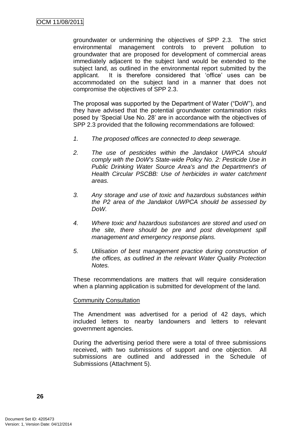groundwater or undermining the objectives of SPP 2.3. The strict environmental management controls to prevent pollution to groundwater that are proposed for development of commercial areas immediately adjacent to the subject land would be extended to the subject land, as outlined in the environmental report submitted by the applicant. It is therefore considered that "office" uses can be accommodated on the subject land in a manner that does not compromise the objectives of SPP 2.3.

The proposal was supported by the Department of Water ("DoW"), and they have advised that the potential groundwater contamination risks posed by "Special Use No. 28" are in accordance with the objectives of SPP 2.3 provided that the following recommendations are followed:

- *1. The proposed offices are connected to deep sewerage.*
- *2. The use of pesticides within the Jandakot UWPCA should comply with the DoW's State-wide Policy No. 2: Pesticide Use in Public Drinking Water Source Area's and the Department's of Health Circular PSCBB: Use of herbicides in water catchment areas.*
- *3. Any storage and use of toxic and hazardous substances within the P2 area of the Jandakot UWPCA should be assessed by DoW.*
- *4. Where toxic and hazardous substances are stored and used on the site, there should be pre and post development spill management and emergency response plans.*
- *5. Utilisation of best management practice during construction of the offices, as outlined in the relevant Water Quality Protection Notes.*

These recommendations are matters that will require consideration when a planning application is submitted for development of the land.

#### Community Consultation

The Amendment was advertised for a period of 42 days, which included letters to nearby landowners and letters to relevant government agencies.

During the advertising period there were a total of three submissions received, with two submissions of support and one objection. All submissions are outlined and addressed in the Schedule of Submissions (Attachment 5).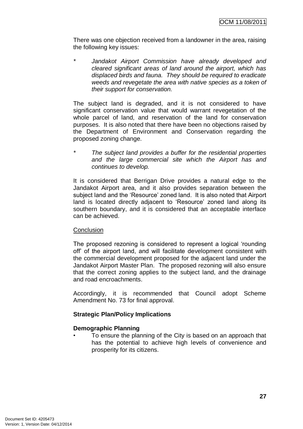There was one objection received from a landowner in the area, raising the following key issues:

*\* Jandakot Airport Commission have already developed and cleared significant areas of land around the airport, which has displaced birds and fauna. They should be required to eradicate weeds and revegetate the area with native species as a token of their support for conservation.*

The subject land is degraded, and it is not considered to have significant conservation value that would warrant revegetation of the whole parcel of land, and reservation of the land for conservation purposes. It is also noted that there have been no objections raised by the Department of Environment and Conservation regarding the proposed zoning change.

*\* The subject land provides a buffer for the residential properties and the large commercial site which the Airport has and continues to develop.*

It is considered that Berrigan Drive provides a natural edge to the Jandakot Airport area, and it also provides separation between the subject land and the "Resource" zoned land. It is also noted that Airport land is located directly adjacent to 'Resource' zoned land along its southern boundary, and it is considered that an acceptable interface can be achieved.

## **Conclusion**

The proposed rezoning is considered to represent a logical "rounding off" of the airport land, and will facilitate development consistent with the commercial development proposed for the adjacent land under the Jandakot Airport Master Plan. The proposed rezoning will also ensure that the correct zoning applies to the subject land, and the drainage and road encroachments.

Accordingly, it is recommended that Council adopt Scheme Amendment No. 73 for final approval.

## **Strategic Plan/Policy Implications**

## **Demographic Planning**

• To ensure the planning of the City is based on an approach that has the potential to achieve high levels of convenience and prosperity for its citizens.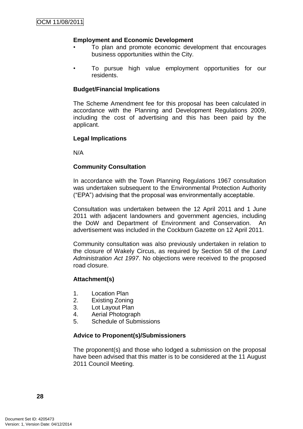## **Employment and Economic Development**

- To plan and promote economic development that encourages business opportunities within the City.
- To pursue high value employment opportunities for our residents.

#### **Budget/Financial Implications**

The Scheme Amendment fee for this proposal has been calculated in accordance with the Planning and Development Regulations 2009, including the cost of advertising and this has been paid by the applicant.

#### **Legal Implications**

N/A

#### **Community Consultation**

In accordance with the Town Planning Regulations 1967 consultation was undertaken subsequent to the Environmental Protection Authority ("EPA") advising that the proposal was environmentally acceptable.

Consultation was undertaken between the 12 April 2011 and 1 June 2011 with adjacent landowners and government agencies, including the DoW and Department of Environment and Conservation. An advertisement was included in the Cockburn Gazette on 12 April 2011.

Community consultation was also previously undertaken in relation to the closure of Wakely Circus, as required by Section 58 of the *Land Administration Act 1997*. No objections were received to the proposed road closure.

#### **Attachment(s)**

- 1. Location Plan
- 2. Existing Zoning
- 3. Lot Layout Plan
- 4. Aerial Photograph
- 5. Schedule of Submissions

#### **Advice to Proponent(s)/Submissioners**

The proponent(s) and those who lodged a submission on the proposal have been advised that this matter is to be considered at the 11 August 2011 Council Meeting.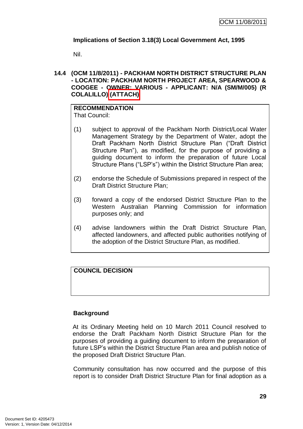# **Implications of Section 3.18(3) Local Government Act, 1995**

Nil.

## **14.4 (OCM 11/8/2011) - PACKHAM NORTH DISTRICT STRUCTURE PLAN - LOCATION: PACKHAM NORTH PROJECT AREA, SPEARWOOD & COOGEE - OWNER: VARIOUS - APPLICANT: N/A (SM/M/005) (R COLALILLO) (ATTACH)**

#### **RECOMMENDATION** That Council:

- (1) subject to approval of the Packham North District/Local Water Management Strategy by the Department of Water, adopt the Draft Packham North District Structure Plan ("Draft District Structure Plan"), as modified, for the purpose of providing a guiding document to inform the preparation of future Local Structure Plans ("LSP"s") within the District Structure Plan area;
- (2) endorse the Schedule of Submissions prepared in respect of the Draft District Structure Plan;
- (3) forward a copy of the endorsed District Structure Plan to the Western Australian Planning Commission for information purposes only; and
- (4) advise landowners within the Draft District Structure Plan, affected landowners, and affected public authorities notifying of the adoption of the District Structure Plan, as modified.

# **COUNCIL DECISION**

## **Background**

At its Ordinary Meeting held on 10 March 2011 Council resolved to endorse the Draft Packham North District Structure Plan for the purposes of providing a guiding document to inform the preparation of future LSP"s within the District Structure Plan area and publish notice of the proposed Draft District Structure Plan.

Community consultation has now occurred and the purpose of this report is to consider Draft District Structure Plan for final adoption as a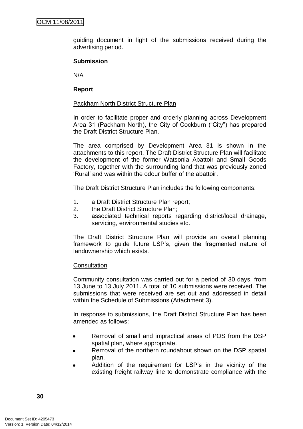guiding document in light of the submissions received during the advertising period.

## **Submission**

N/A

## **Report**

## Packham North District Structure Plan

In order to facilitate proper and orderly planning across Development Area 31 (Packham North), the City of Cockburn ("City") has prepared the Draft District Structure Plan.

The area comprised by Development Area 31 is shown in the attachments to this report. The Draft District Structure Plan will facilitate the development of the former Watsonia Abattoir and Small Goods Factory, together with the surrounding land that was previously zoned "Rural" and was within the odour buffer of the abattoir.

The Draft District Structure Plan includes the following components:

- 1. a Draft District Structure Plan report;
- 2. the Draft District Structure Plan;
- 3. associated technical reports regarding district/local drainage, servicing, environmental studies etc.

The Draft District Structure Plan will provide an overall planning framework to guide future LSP"s, given the fragmented nature of landownership which exists.

## **Consultation**

Community consultation was carried out for a period of 30 days, from 13 June to 13 July 2011. A total of 10 submissions were received. The submissions that were received are set out and addressed in detail within the Schedule of Submissions (Attachment 3).

In response to submissions, the Draft District Structure Plan has been amended as follows:

- Removal of small and impractical areas of POS from the DSP  $\bullet$ spatial plan, where appropriate.
- Removal of the northern roundabout shown on the DSP spatial plan.
- Addition of the requirement for LSP"s in the vicinity of the existing freight railway line to demonstrate compliance with the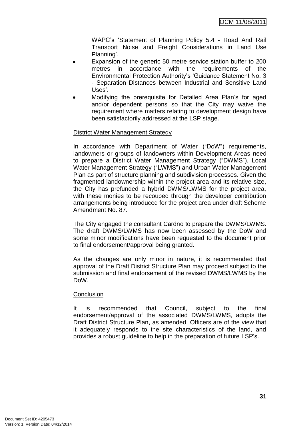WAPC"s "Statement of Planning Policy 5.4 - Road And Rail Transport Noise and Freight Considerations in Land Use Planning'.

- Expansion of the generic 50 metre service station buffer to 200 metres in accordance with the requirements of the Environmental Protection Authority"s "Guidance Statement No. 3 - Separation Distances between Industrial and Sensitive Land Uses'.
- Modifying the prerequisite for Detailed Area Plan"s for aged and/or dependent persons so that the City may waive the requirement where matters relating to development design have been satisfactorily addressed at the LSP stage.

# District Water Management Strategy

In accordance with Department of Water ("DoW") requirements, landowners or groups of landowners within Development Areas need to prepare a District Water Management Strategy ("DWMS"), Local Water Management Strategy ("LWMS") and Urban Water Management Plan as part of structure planning and subdivision processes. Given the fragmented landownership within the project area and its relative size, the City has prefunded a hybrid DWMS/LWMS for the project area, with these monies to be recouped through the developer contribution arrangements being introduced for the project area under draft Scheme Amendment No. 87.

The City engaged the consultant Cardno to prepare the DWMS/LWMS. The draft DWMS/LWMS has now been assessed by the DoW and some minor modifications have been requested to the document prior to final endorsement/approval being granted.

As the changes are only minor in nature, it is recommended that approval of the Draft District Structure Plan may proceed subject to the submission and final endorsement of the revised DWMS/LWMS by the DoW.

## **Conclusion**

It is recommended that Council, subject to the final endorsement/approval of the associated DWMS/LWMS, adopts the Draft District Structure Plan, as amended. Officers are of the view that it adequately responds to the site characteristics of the land, and provides a robust guideline to help in the preparation of future LSP"s.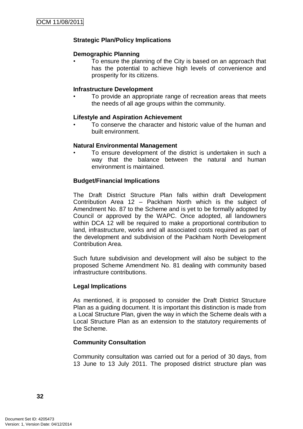# **Strategic Plan/Policy Implications**

## **Demographic Planning**

• To ensure the planning of the City is based on an approach that has the potential to achieve high levels of convenience and prosperity for its citizens.

## **Infrastructure Development**

• To provide an appropriate range of recreation areas that meets the needs of all age groups within the community.

# **Lifestyle and Aspiration Achievement**

• To conserve the character and historic value of the human and built environment.

## **Natural Environmental Management**

To ensure development of the district is undertaken in such a way that the balance between the natural and human environment is maintained.

# **Budget/Financial Implications**

The Draft District Structure Plan falls within draft Development Contribution Area 12 – Packham North which is the subject of Amendment No. 87 to the Scheme and is yet to be formally adopted by Council or approved by the WAPC. Once adopted, all landowners within DCA 12 will be required to make a proportional contribution to land, infrastructure, works and all associated costs required as part of the development and subdivision of the Packham North Development Contribution Area.

Such future subdivision and development will also be subject to the proposed Scheme Amendment No. 81 dealing with community based infrastructure contributions.

## **Legal Implications**

As mentioned, it is proposed to consider the Draft District Structure Plan as a guiding document. It is important this distinction is made from a Local Structure Plan, given the way in which the Scheme deals with a Local Structure Plan as an extension to the statutory requirements of the Scheme.

# **Community Consultation**

Community consultation was carried out for a period of 30 days, from 13 June to 13 July 2011. The proposed district structure plan was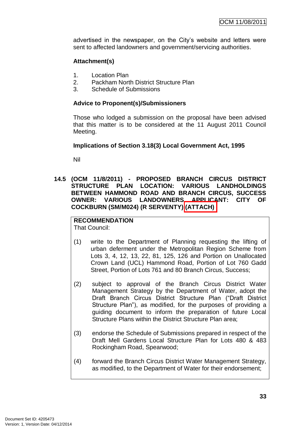advertised in the newspaper, on the City's website and letters were sent to affected landowners and government/servicing authorities.

# **Attachment(s)**

- 1. Location Plan
- 2. Packham North District Structure Plan
- 3. Schedule of Submissions

#### **Advice to Proponent(s)/Submissioners**

Those who lodged a submission on the proposal have been advised that this matter is to be considered at the 11 August 2011 Council Meeting.

#### **Implications of Section 3.18(3) Local Government Act, 1995**

Nil

**14.5 (OCM 11/8/2011) - PROPOSED BRANCH CIRCUS DISTRICT STRUCTURE PLAN LOCATION: VARIOUS LANDHOLDINGS BETWEEN HAMMOND ROAD AND BRANCH CIRCUS, SUCCESS OWNER: VARIOUS LANDOWNERS APPLICANT: CITY OF COCKBURN (SM/M024) (R SERVENTY) (ATTACH)**

# **RECOMMENDATION**

That Council:

- (1) write to the Department of Planning requesting the lifting of urban deferment under the Metropolitan Region Scheme from Lots 3, 4, 12, 13, 22, 81, 125, 126 and Portion on Unallocated Crown Land (UCL) Hammond Road, Portion of Lot 760 Gadd Street, Portion of Lots 761 and 80 Branch Circus, Success;
- (2) subject to approval of the Branch Circus District Water Management Strategy by the Department of Water, adopt the Draft Branch Circus District Structure Plan ("Draft District Structure Plan"), as modified, for the purposes of providing a guiding document to inform the preparation of future Local Structure Plans within the District Structure Plan area;
- (3) endorse the Schedule of Submissions prepared in respect of the Draft Mell Gardens Local Structure Plan for Lots 480 & 483 Rockingham Road, Spearwood;
- (4) forward the Branch Circus District Water Management Strategy, as modified, to the Department of Water for their endorsement;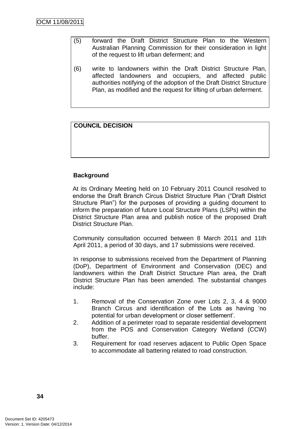- (5) forward the Draft District Structure Plan to the Western Australian Planning Commission for their consideration in light of the request to lift urban deferment; and
- (6) write to landowners within the Draft District Structure Plan, affected landowners and occupiers, and affected public authorities notifying of the adoption of the Draft District Structure Plan, as modified and the request for lifting of urban deferment.

# **COUNCIL DECISION**

# **Background**

At its Ordinary Meeting held on 10 February 2011 Council resolved to endorse the Draft Branch Circus District Structure Plan ("Draft District Structure Plan") for the purposes of providing a guiding document to inform the preparation of future Local Structure Plans (LSPs) within the District Structure Plan area and publish notice of the proposed Draft District Structure Plan.

Community consultation occurred between 8 March 2011 and 11th April 2011, a period of 30 days, and 17 submissions were received.

In response to submissions received from the Department of Planning (DoP), Department of Environment and Conservation (DEC) and landowners within the Draft District Structure Plan area, the Draft District Structure Plan has been amended. The substantial changes include:

- 1. Removal of the Conservation Zone over Lots 2, 3, 4 & 9000 Branch Circus and identification of the Lots as having "no potential for urban development or closer settlement".
- 2. Addition of a perimeter road to separate residential development from the POS and Conservation Category Wetland (CCW) buffer.
- 3. Requirement for road reserves adjacent to Public Open Space to accommodate all battering related to road construction.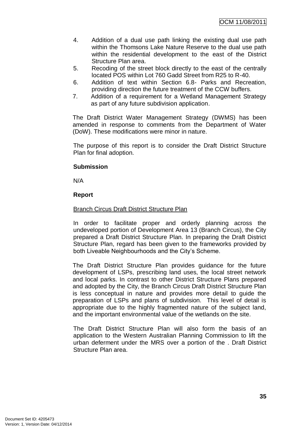- 4. Addition of a dual use path linking the existing dual use path within the Thomsons Lake Nature Reserve to the dual use path within the residential development to the east of the District Structure Plan area.
- 5. Recoding of the street block directly to the east of the centrally located POS within Lot 760 Gadd Street from R25 to R-40.
- 6. Addition of text within Section 6.8- Parks and Recreation, providing direction the future treatment of the CCW buffers.
- 7. Addition of a requirement for a Wetland Management Strategy as part of any future subdivision application.

The Draft District Water Management Strategy (DWMS) has been amended in response to comments from the Department of Water (DoW). These modifications were minor in nature.

The purpose of this report is to consider the Draft District Structure Plan for final adoption.

## **Submission**

N/A

## **Report**

## Branch Circus Draft District Structure Plan

In order to facilitate proper and orderly planning across the undeveloped portion of Development Area 13 (Branch Circus), the City prepared a Draft District Structure Plan. In preparing the Draft District Structure Plan, regard has been given to the frameworks provided by both Liveable Neighbourhoods and the City"s Scheme.

The Draft District Structure Plan provides guidance for the future development of LSPs, prescribing land uses, the local street network and local parks. In contrast to other District Structure Plans prepared and adopted by the City, the Branch Circus Draft District Structure Plan is less conceptual in nature and provides more detail to guide the preparation of LSPs and plans of subdivision. This level of detail is appropriate due to the highly fragmented nature of the subject land, and the important environmental value of the wetlands on the site.

The Draft District Structure Plan will also form the basis of an application to the Western Australian Planning Commission to lift the urban deferment under the MRS over a portion of the . Draft District Structure Plan area.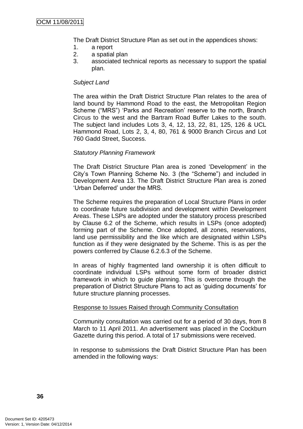The Draft District Structure Plan as set out in the appendices shows:

- 1. a report
- 2. a spatial plan
- 3. associated technical reports as necessary to support the spatial plan.

#### *Subject Land*

The area within the Draft District Structure Plan relates to the area of land bound by Hammond Road to the east, the Metropolitan Region Scheme ("MRS") 'Parks and Recreation' reserve to the north, Branch Circus to the west and the Bartram Road Buffer Lakes to the south. The subject land includes Lots 3, 4, 12, 13, 22, 81, 125, 126 & UCL Hammond Road, Lots 2, 3, 4, 80, 761 & 9000 Branch Circus and Lot 760 Gadd Street, Success.

#### *Statutory Planning Framework*

The Draft District Structure Plan area is zoned "Development" in the City"s Town Planning Scheme No. 3 (the "Scheme") and included in Development Area 13. The Draft District Structure Plan area is zoned "Urban Deferred" under the MRS.

The Scheme requires the preparation of Local Structure Plans in order to coordinate future subdivision and development within Development Areas. These LSPs are adopted under the statutory process prescribed by Clause 6.2 of the Scheme, which results in LSPs (once adopted) forming part of the Scheme. Once adopted, all zones, reservations, land use permissibility and the like which are designated within LSPs function as if they were designated by the Scheme. This is as per the powers conferred by Clause 6.2.6.3 of the Scheme.

In areas of highly fragmented land ownership it is often difficult to coordinate individual LSPs without some form of broader district framework in which to guide planning. This is overcome through the preparation of District Structure Plans to act as "guiding documents" for future structure planning processes.

#### Response to Issues Raised through Community Consultation

Community consultation was carried out for a period of 30 days, from 8 March to 11 April 2011. An advertisement was placed in the Cockburn Gazette during this period. A total of 17 submissions were received.

In response to submissions the Draft District Structure Plan has been amended in the following ways: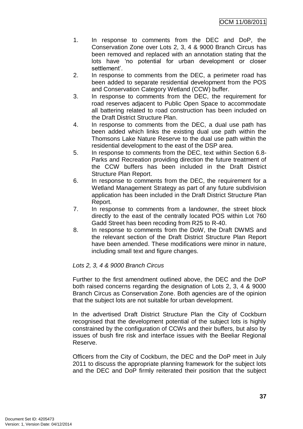- 1. In response to comments from the DEC and DoP, the Conservation Zone over Lots 2, 3, 4 & 9000 Branch Circus has been removed and replaced with an annotation stating that the lots have "no potential for urban development or closer settlement".
- 2. In response to comments from the DEC, a perimeter road has been added to separate residential development from the POS and Conservation Category Wetland (CCW) buffer.
- 3. In response to comments from the DEC, the requirement for road reserves adjacent to Public Open Space to accommodate all battering related to road construction has been included on the Draft District Structure Plan.
- 4. In response to comments from the DEC, a dual use path has been added which links the existing dual use path within the Thomsons Lake Nature Reserve to the dual use path within the residential development to the east of the DSP area.
- 5. In response to comments from the DEC, text within Section 6.8- Parks and Recreation providing direction the future treatment of the CCW buffers has been included in the Draft District Structure Plan Report.
- 6. In response to comments from the DEC, the requirement for a Wetland Management Strategy as part of any future subdivision application has been included in the Draft District Structure Plan Report.
- 7. In response to comments from a landowner, the street block directly to the east of the centrally located POS within Lot 760 Gadd Street has been recoding from R25 to R-40.
- 8. In response to comments from the DoW, the Draft DWMS and the relevant section of the Draft District Structure Plan Report have been amended. These modifications were minor in nature, including small text and figure changes.

# *Lots 2, 3, 4 & 9000 Branch Circus*

Further to the first amendment outlined above, the DEC and the DoP both raised concerns regarding the designation of Lots 2, 3, 4 & 9000 Branch Circus as Conservation Zone. Both agencies are of the opinion that the subject lots are not suitable for urban development.

In the advertised Draft District Structure Plan the City of Cockburn recognised that the development potential of the subject lots is highly constrained by the configuration of CCWs and their buffers, but also by issues of bush fire risk and interface issues with the Beeliar Regional Reserve.

Officers from the City of Cockburn, the DEC and the DoP meet in July 2011 to discuss the appropriate planning framework for the subject lots and the DEC and DoP firmly reiterated their position that the subject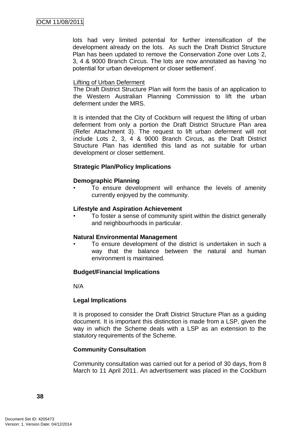lots had very limited potential for further intensification of the development already on the lots. As such the Draft District Structure Plan has been updated to remove the Conservation Zone over Lots 2, 3, 4 & 9000 Branch Circus. The lots are now annotated as having "no potential for urban development or closer settlement".

#### Lifting of Urban Deferment

The Draft District Structure Plan will form the basis of an application to the Western Australian Planning Commission to lift the urban deferment under the MRS.

It is intended that the City of Cockburn will request the lifting of urban deferment from only a portion the Draft District Structure Plan area (Refer Attachment 3). The request to lift urban deferment will not include Lots 2, 3, 4 & 9000 Branch Circus, as the Draft District Structure Plan has identified this land as not suitable for urban development or closer settlement.

## **Strategic Plan/Policy Implications**

#### **Demographic Planning**

To ensure development will enhance the levels of amenity currently enjoyed by the community.

#### **Lifestyle and Aspiration Achievement**

• To foster a sense of community spirit within the district generally and neighbourhoods in particular.

#### **Natural Environmental Management**

To ensure development of the district is undertaken in such a way that the balance between the natural and human environment is maintained.

## **Budget/Financial Implications**

N/A

#### **Legal Implications**

It is proposed to consider the Draft District Structure Plan as a guiding document. It is important this distinction is made from a LSP, given the way in which the Scheme deals with a LSP as an extension to the statutory requirements of the Scheme.

#### **Community Consultation**

Community consultation was carried out for a period of 30 days, from 8 March to 11 April 2011. An advertisement was placed in the Cockburn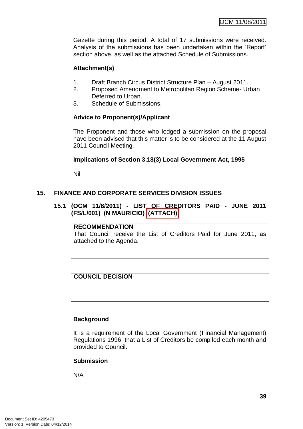Gazette during this period. A total of 17 submissions were received. Analysis of the submissions has been undertaken within the "Report" section above, as well as the attached Schedule of Submissions.

## **Attachment(s)**

- 1. Draft Branch Circus District Structure Plan August 2011.
- 2. Proposed Amendment to Metropolitan Region Scheme- Urban Deferred to Urban.
- 3. Schedule of Submissions.

# **Advice to Proponent(s)/Applicant**

The Proponent and those who lodged a submission on the proposal have been advised that this matter is to be considered at the 11 August 2011 Council Meeting.

# **Implications of Section 3.18(3) Local Government Act, 1995**

Nil

# **15. FINANCE AND CORPORATE SERVICES DIVISION ISSUES**

# **15.1 (OCM 11/8/2011) - LIST OF CREDITORS PAID - JUNE 2011 (FS/L/001) (N MAURICIO) (ATTACH)**

#### **RECOMMENDATION**

That Council receive the List of Creditors Paid for June 2011, as attached to the Agenda.

## **COUNCIL DECISION**

## **Background**

It is a requirement of the Local Government (Financial Management) Regulations 1996, that a List of Creditors be compiled each month and provided to Council.

## **Submission**

N/A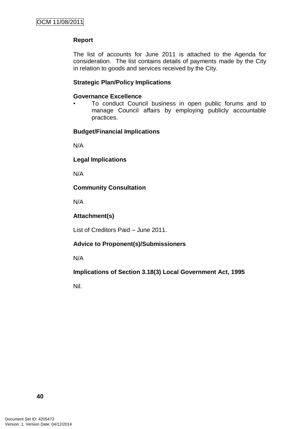# **Report**

The list of accounts for June 2011 is attached to the Agenda for consideration. The list contains details of payments made by the City in relation to goods and services received by the City.

#### **Strategic Plan/Policy Implications**

#### **Governance Excellence**

• To conduct Council business in open public forums and to manage Council affairs by employing publicly accountable practices.

#### **Budget/Financial Implications**

N/A

**Legal Implications**

N/A

## **Community Consultation**

N/A

#### **Attachment(s)**

List of Creditors Paid – June 2011.

## **Advice to Proponent(s)/Submissioners**

N/A

**Implications of Section 3.18(3) Local Government Act, 1995**

Nil.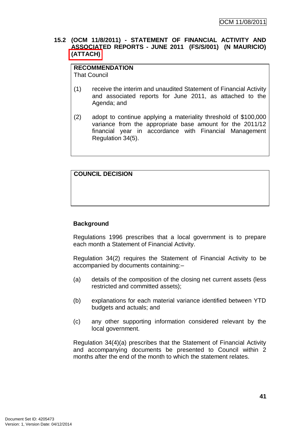## **15.2 (OCM 11/8/2011) - STATEMENT OF FINANCIAL ACTIVITY AND ASSOCIATED REPORTS - JUNE 2011 (FS/S/001) (N MAURICIO) (ATTACH)**

#### **RECOMMENDATION** That Council

- (1) receive the interim and unaudited Statement of Financial Activity and associated reports for June 2011, as attached to the Agenda; and
- (2) adopt to continue applying a materiality threshold of \$100,000 variance from the appropriate base amount for the 2011/12 financial year in accordance with Financial Management Regulation 34(5).

# **COUNCIL DECISION**

# **Background**

Regulations 1996 prescribes that a local government is to prepare each month a Statement of Financial Activity.

Regulation 34(2) requires the Statement of Financial Activity to be accompanied by documents containing:–

- (a) details of the composition of the closing net current assets (less restricted and committed assets);
- (b) explanations for each material variance identified between YTD budgets and actuals; and
- (c) any other supporting information considered relevant by the local government.

Regulation 34(4)(a) prescribes that the Statement of Financial Activity and accompanying documents be presented to Council within 2 months after the end of the month to which the statement relates.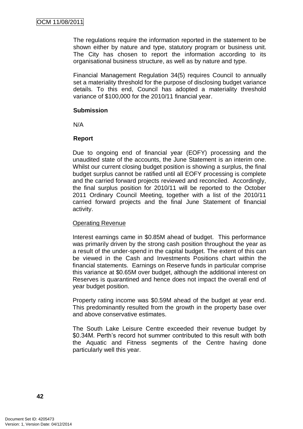The regulations require the information reported in the statement to be shown either by nature and type, statutory program or business unit. The City has chosen to report the information according to its organisational business structure, as well as by nature and type.

Financial Management Regulation 34(5) requires Council to annually set a materiality threshold for the purpose of disclosing budget variance details. To this end, Council has adopted a materiality threshold variance of \$100,000 for the 2010/11 financial year.

#### **Submission**

N/A

# **Report**

Due to ongoing end of financial year (EOFY) processing and the unaudited state of the accounts, the June Statement is an interim one. Whilst our current closing budget position is showing a surplus, the final budget surplus cannot be ratified until all EOFY processing is complete and the carried forward projects reviewed and reconciled. Accordingly, the final surplus position for 2010/11 will be reported to the October 2011 Ordinary Council Meeting, together with a list of the 2010/11 carried forward projects and the final June Statement of financial activity.

## Operating Revenue

Interest earnings came in \$0.85M ahead of budget. This performance was primarily driven by the strong cash position throughout the year as a result of the under-spend in the capital budget. The extent of this can be viewed in the Cash and Investments Positions chart within the financial statements. Earnings on Reserve funds in particular comprise this variance at \$0.65M over budget, although the additional interest on Reserves is quarantined and hence does not impact the overall end of year budget position.

Property rating income was \$0.59M ahead of the budget at year end. This predominantly resulted from the growth in the property base over and above conservative estimates.

The South Lake Leisure Centre exceeded their revenue budget by \$0.34M. Perth"s record hot summer contributed to this result with both the Aquatic and Fitness segments of the Centre having done particularly well this year.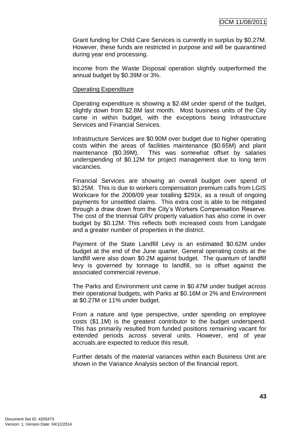Grant funding for Child Care Services is currently in surplus by \$0.27M. However, these funds are restricted in purpose and will be quarantined during year end processing.

Income from the Waste Disposal operation slightly outperformed the annual budget by \$0.39M or 3%.

#### Operating Expenditure

Operating expenditure is showing a \$2.4M under spend of the budget, slightly down from \$2.8M last month. Most business units of the City came in within budget, with the exceptions being Infrastructure Services and Financial Services.

Infrastructure Services are \$0.90M over budget due to higher operating costs within the areas of facilities maintenance (\$0.65M) and plant maintenance (\$0.39M). This was somewhat offset by salaries underspending of \$0.12M for project management due to long term vacancies.

Financial Services are showing an overall budget over spend of \$0.25M. This is due to workers compensation premium calls from LGIS Workcare for the 2008/09 year totalling \$291k, as a result of ongoing payments for unsettled claims. This extra cost is able to be mitigated through a draw down from the City"s Workers Compensation Reserve. The cost of the triennial GRV property valuation has also come in over budget by \$0.12M. This reflects both increased costs from Landgate and a greater number of properties in the district.

Payment of the State Landfill Levy is an estimated \$0.62M under budget at the end of the June quarter. General operating costs at the landfill were also down \$0.2M against budget. The quantum of landfill levy is governed by tonnage to landfill, so is offset against the associated commercial revenue.

The Parks and Environment unit came in \$0.47M under budget across their operational budgets, with Parks at \$0.16M or 2% and Environment at \$0.27M or 11% under budget.

From a nature and type perspective, under spending on employee costs (\$1.1M) is the greatest contributor to the budget underspend. This has primarily resulted from funded positions remaining vacant for extended periods across several units. However, end of year accruals.are expected to reduce this result.

Further details of the material variances within each Business Unit are shown in the Variance Analysis section of the financial report.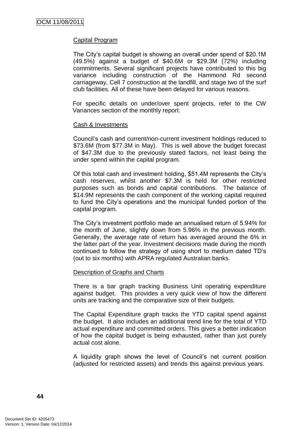## Capital Program

The City"s capital budget is showing an overall under spend of \$20.1M (49.5%) against a budget of \$40.6M or \$29.3M (72%) including commitments. Several significant projects have contributed to this big variance including construction of the Hammond Rd second carriageway, Cell 7 construction at the landfill, and stage two of the surf club facilities. All of these have been delayed for various reasons.

For specific details on under/over spent projects, refer to the CW Variances section of the monthly report.

#### Cash & Investments

Council"s cash and current/non-current investment holdings reduced to \$73.6M (from \$77.3M in May). This is well above the budget forecast of \$47.3M due to the previously stated factors, not least being the under spend within the capital program.

Of this total cash and investment holding, \$51.4M represents the City"s cash reserves, whilst another \$7.3M is held for other restricted purposes such as bonds and capital contributions. The balance of \$14.9M represents the cash component of the working capital required to fund the City"s operations and the municipal funded portion of the capital program.

The City"s investment portfolio made an annualised return of 5.94% for the month of June, slightly down from 5.96% in the previous month. Generally, the average rate of return has averaged around the 6% in the latter part of the year. Investment decisions made during the month continued to follow the strategy of using short to medium dated TD"s (out to six months) with APRA regulated Australian banks.

## Description of Graphs and Charts

There is a bar graph tracking Business Unit operating expenditure against budget. This provides a very quick view of how the different units are tracking and the comparative size of their budgets.

The Capital Expenditure graph tracks the YTD capital spend against the budget. It also includes an additional trend line for the total of YTD actual expenditure and committed orders. This gives a better indication of how the capital budget is being exhausted, rather than just purely actual cost alone.

A liquidity graph shows the level of Council"s net current position (adjusted for restricted assets) and trends this against previous years.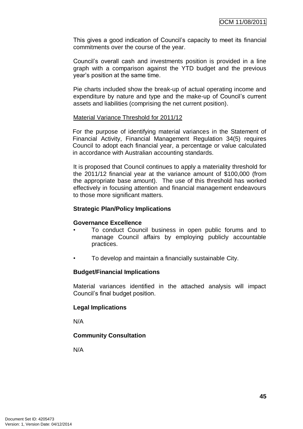This gives a good indication of Council"s capacity to meet its financial commitments over the course of the year.

Council"s overall cash and investments position is provided in a line graph with a comparison against the YTD budget and the previous year"s position at the same time.

Pie charts included show the break-up of actual operating income and expenditure by nature and type and the make-up of Council's current assets and liabilities (comprising the net current position).

#### Material Variance Threshold for 2011/12

For the purpose of identifying material variances in the Statement of Financial Activity, Financial Management Regulation 34(5) requires Council to adopt each financial year, a percentage or value calculated in accordance with Australian accounting standards.

It is proposed that Council continues to apply a materiality threshold for the 2011/12 financial year at the variance amount of \$100,000 (from the appropriate base amount). The use of this threshold has worked effectively in focusing attention and financial management endeavours to those more significant matters.

## **Strategic Plan/Policy Implications**

## **Governance Excellence**

- To conduct Council business in open public forums and to manage Council affairs by employing publicly accountable practices.
- To develop and maintain a financially sustainable City.

#### **Budget/Financial Implications**

Material variances identified in the attached analysis will impact Council"s final budget position.

## **Legal Implications**

N/A

## **Community Consultation**

N/A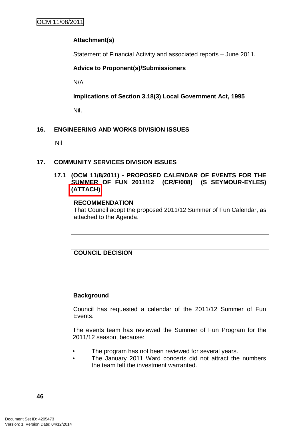# **Attachment(s)**

Statement of Financial Activity and associated reports – June 2011.

# **Advice to Proponent(s)/Submissioners**

N/A

**Implications of Section 3.18(3) Local Government Act, 1995**

Nil.

# **16. ENGINEERING AND WORKS DIVISION ISSUES**

Nil

## **17. COMMUNITY SERVICES DIVISION ISSUES**

## **17.1 (OCM 11/8/2011) - PROPOSED CALENDAR OF EVENTS FOR THE SUMMER OF FUN 2011/12 (CR/F/008) (S SEYMOUR-EYLES) (ATTACH)**

## **RECOMMENDATION**

That Council adopt the proposed 2011/12 Summer of Fun Calendar, as attached to the Agenda.

**COUNCIL DECISION**

## **Background**

Council has requested a calendar of the 2011/12 Summer of Fun Events.

The events team has reviewed the Summer of Fun Program for the 2011/12 season, because:

- The program has not been reviewed for several years.
- The January 2011 Ward concerts did not attract the numbers the team felt the investment warranted.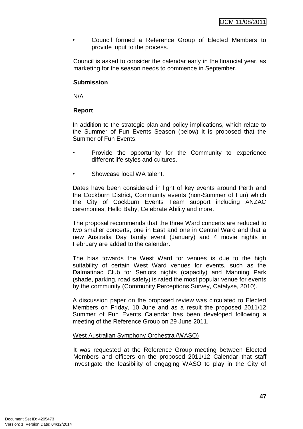• Council formed a Reference Group of Elected Members to provide input to the process.

Council is asked to consider the calendar early in the financial year, as marketing for the season needs to commence in September.

#### **Submission**

N/A

# **Report**

In addition to the strategic plan and policy implications, which relate to the Summer of Fun Events Season (below) it is proposed that the Summer of Fun Events:

- Provide the opportunity for the Community to experience different life styles and cultures.
- Showcase local WA talent.

Dates have been considered in light of key events around Perth and the Cockburn District, Community events (non-Summer of Fun) which the City of Cockburn Events Team support including ANZAC ceremonies, Hello Baby, Celebrate Ability and more.

The proposal recommends that the three Ward concerts are reduced to two smaller concerts, one in East and one in Central Ward and that a new Australia Day family event (January) and 4 movie nights in February are added to the calendar.

The bias towards the West Ward for venues is due to the high suitability of certain West Ward venues for events, such as the Dalmatinac Club for Seniors nights (capacity) and Manning Park (shade, parking, road safety) is rated the most popular venue for events by the community (Community Perceptions Survey, Catalyse, 2010).

A discussion paper on the proposed review was circulated to Elected Members on Friday, 10 June and as a result the proposed 2011/12 Summer of Fun Events Calendar has been developed following a meeting of the Reference Group on 29 June 2011.

## West Australian Symphony Orchestra (WASO)

It was requested at the Reference Group meeting between Elected Members and officers on the proposed 2011/12 Calendar that staff investigate the feasibility of engaging WASO to play in the City of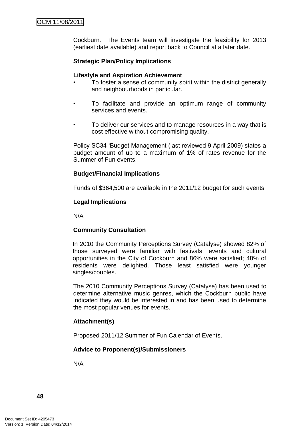Cockburn. The Events team will investigate the feasibility for 2013 (earliest date available) and report back to Council at a later date.

# **Strategic Plan/Policy Implications**

#### **Lifestyle and Aspiration Achievement**

- To foster a sense of community spirit within the district generally and neighbourhoods in particular.
- To facilitate and provide an optimum range of community services and events.
- To deliver our services and to manage resources in a way that is cost effective without compromising quality.

Policy SC34 "Budget Management (last reviewed 9 April 2009) states a budget amount of up to a maximum of 1% of rates revenue for the Summer of Fun events.

## **Budget/Financial Implications**

Funds of \$364,500 are available in the 2011/12 budget for such events.

#### **Legal Implications**

N/A

## **Community Consultation**

In 2010 the Community Perceptions Survey (Catalyse) showed 82% of those surveyed were familiar with festivals, events and cultural opportunities in the City of Cockburn and 86% were satisfied; 48% of residents were delighted. Those least satisfied were younger singles/couples.

The 2010 Community Perceptions Survey (Catalyse) has been used to determine alternative music genres, which the Cockburn public have indicated they would be interested in and has been used to determine the most popular venues for events.

## **Attachment(s)**

Proposed 2011/12 Summer of Fun Calendar of Events.

## **Advice to Proponent(s)/Submissioners**

N/A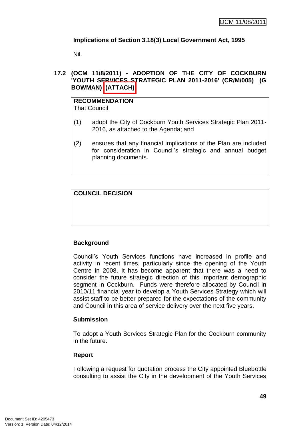# **Implications of Section 3.18(3) Local Government Act, 1995**

Nil.

## **17.2 (OCM 11/8/2011) - ADOPTION OF THE CITY OF COCKBURN 'YOUTH SERVICES STRATEGIC PLAN 2011-2016' (CR/M/005) (G BOWMAN) (ATTACH)**

# **RECOMMENDATION**

That Council

- (1) adopt the City of Cockburn Youth Services Strategic Plan 2011- 2016, as attached to the Agenda; and
- (2) ensures that any financial implications of the Plan are included for consideration in Council"s strategic and annual budget planning documents.

# **COUNCIL DECISION**

# **Background**

Council"s Youth Services functions have increased in profile and activity in recent times, particularly since the opening of the Youth Centre in 2008. It has become apparent that there was a need to consider the future strategic direction of this important demographic segment in Cockburn. Funds were therefore allocated by Council in 2010/11 financial year to develop a Youth Services Strategy which will assist staff to be better prepared for the expectations of the community and Council in this area of service delivery over the next five years.

## **Submission**

To adopt a Youth Services Strategic Plan for the Cockburn community in the future.

## **Report**

Following a request for quotation process the City appointed Bluebottle consulting to assist the City in the development of the Youth Services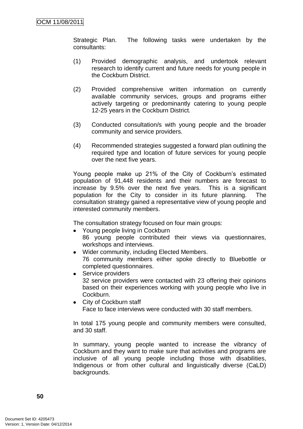Strategic Plan. The following tasks were undertaken by the consultants:

- (1) Provided demographic analysis, and undertook relevant research to identify current and future needs for young people in the Cockburn District.
- (2) Provided comprehensive written information on currently available community services, groups and programs either actively targeting or predominantly catering to young people 12-25 years in the Cockburn District.
- (3) Conducted consultation/s with young people and the broader community and service providers.
- (4) Recommended strategies suggested a forward plan outlining the required type and location of future services for young people over the next five years.

Young people make up 21% of the City of Cockburn's estimated population of 91,448 residents and their numbers are forecast to increase by 9.5% over the next five years. This is a significant population for the City to consider in its future planning. The consultation strategy gained a representative view of young people and interested community members.

The consultation strategy focused on four main groups:

- Young people living in Cockburn 86 young people contributed their views via questionnaires, workshops and interviews.
- Wider community, including Elected Members. 76 community members either spoke directly to Bluebottle or completed questionnaires.
- Service providers 32 service providers were contacted with 23 offering their opinions based on their experiences working with young people who live in Cockburn.
- City of Cockburn staff Face to face interviews were conducted with 30 staff members.

In total 175 young people and community members were consulted, and 30 staff.

In summary, young people wanted to increase the vibrancy of Cockburn and they want to make sure that activities and programs are inclusive of all young people including those with disabilities, Indigenous or from other cultural and linguistically diverse (CaLD) backgrounds.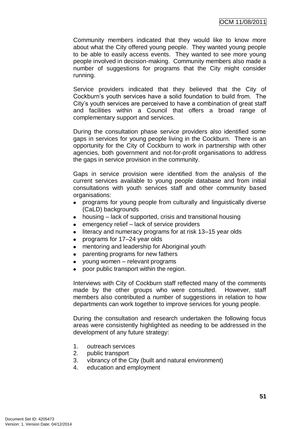Community members indicated that they would like to know more about what the City offered young people. They wanted young people to be able to easily access events. They wanted to see more young people involved in decision-making. Community members also made a number of suggestions for programs that the City might consider running.

Service providers indicated that they believed that the City of Cockburn"s youth services have a solid foundation to build from. The City"s youth services are perceived to have a combination of great staff and facilities within a Council that offers a broad range of complementary support and services.

During the consultation phase service providers also identified some gaps in services for young people living in the Cockburn. There is an opportunity for the City of Cockburn to work in partnership with other agencies, both government and not-for-profit organisations to address the gaps in service provision in the community.

Gaps in service provision were identified from the analysis of the current services available to young people database and from initial consultations with youth services staff and other community based organisations:

- programs for young people from culturally and linguistically diverse (CaLD) backgrounds
- housing lack of supported, crisis and transitional housing
- emergency relief lack of service providers
- literacy and numeracy programs for at risk 13–15 year olds
- programs for 17–24 year olds
- mentoring and leadership for Aboriginal youth
- parenting programs for new fathers
- young women relevant programs
- poor public transport within the region.

Interviews with City of Cockburn staff reflected many of the comments made by the other groups who were consulted. However, staff members also contributed a number of suggestions in relation to how departments can work together to improve services for young people.

During the consultation and research undertaken the following focus areas were consistently highlighted as needing to be addressed in the development of any future strategy:

- 1. outreach services
- 2. public transport
- 3. vibrancy of the City (built and natural environment)
- 4. education and employment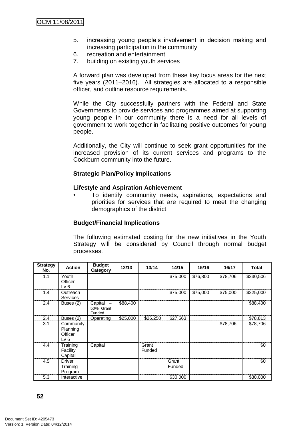- 5. increasing young people"s involvement in decision making and increasing participation in the community
- 6. recreation and entertainment
- 7. building on existing youth services

A forward plan was developed from these key focus areas for the next five years (2011–2016). All strategies are allocated to a responsible officer, and outline resource requirements.

While the City successfully partners with the Federal and State Governments to provide services and programmes aimed at supporting young people in our community there is a need for all levels of government to work together in facilitating positive outcomes for young people.

Additionally, the City will continue to seek grant opportunities for the increased provision of its current services and programs to the Cockburn community into the future.

## **Strategic Plan/Policy Implications**

#### **Lifestyle and Aspiration Achievement**

• To identify community needs, aspirations, expectations and priorities for services that are required to meet the changing demographics of the district.

#### **Budget/Financial Implications**

The following estimated costing for the new initiatives in the Youth Strategy will be considered by Council through normal budget processes.

| <b>Strategy</b><br>No. | <b>Action</b>                            | <b>Budget</b><br>Category      | 12/13    | 13/14           | 14/15           | 15/16    | 16/17    | <b>Total</b> |
|------------------------|------------------------------------------|--------------------------------|----------|-----------------|-----------------|----------|----------|--------------|
| 1.1                    | Youth<br>Officer<br>Lv 6                 |                                |          |                 | \$75,000        | \$76,800 | \$78,706 | \$230,506    |
| 1.4                    | Outreach<br>Services                     |                                |          |                 | \$75,000        | \$75,000 | \$75,000 | \$225,000    |
| 2.4                    | Buses (2)                                | Capital<br>50% Grant<br>Funded | \$88,400 |                 |                 |          |          | \$88,400     |
| 2.4                    | Buses (2)                                | Operating                      | \$25,000 | \$26,250        | \$27,563        |          |          | \$78,813     |
| 3.1                    | Community<br>Planning<br>Officer<br>Lv 6 |                                |          |                 |                 |          | \$78,706 | \$78,706     |
| 4.4                    | Training<br>Facility<br>Capital          | Capital                        |          | Grant<br>Funded |                 |          |          | \$0          |
| 4.5                    | <b>Driver</b><br>Training<br>Program     |                                |          |                 | Grant<br>Funded |          |          | \$0          |
| 5.3                    | Interactive                              |                                |          |                 | \$30,000        |          |          | \$30,000     |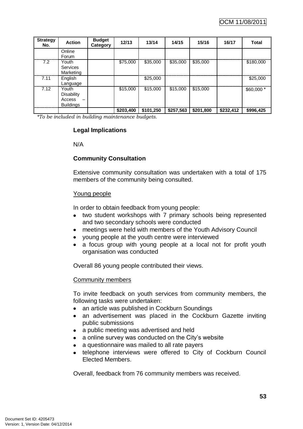| <b>Strategy</b><br>No. | <b>Action</b>     | <b>Budget</b><br>Category | 12/13     | 13/14     | 14/15     | 15/16     | 16/17     | <b>Total</b> |
|------------------------|-------------------|---------------------------|-----------|-----------|-----------|-----------|-----------|--------------|
|                        | Online            |                           |           |           |           |           |           |              |
|                        | Forum             |                           |           |           |           |           |           |              |
| 7.2                    | Youth             |                           | \$75,000  | \$35,000  | \$35,000  | \$35,000  |           | \$180,000    |
|                        | <b>Services</b>   |                           |           |           |           |           |           |              |
|                        | Marketing         |                           |           |           |           |           |           |              |
| 7.11                   | English           |                           |           | \$25,000  |           |           |           | \$25,000     |
|                        | Language          |                           |           |           |           |           |           |              |
| 7.12                   | Youth             |                           | \$15,000  | \$15,000  | \$15,000  | \$15,000  |           | \$60,000 *   |
|                        | <b>Disability</b> |                           |           |           |           |           |           |              |
|                        | Access            |                           |           |           |           |           |           |              |
|                        | <b>Buildings</b>  |                           |           |           |           |           |           |              |
|                        |                   |                           | \$203,400 | \$101,250 | \$257,563 | \$201,800 | \$232,412 | \$996,425    |

*\*To be included in building maintenance budgets.*

# **Legal Implications**

N/A

## **Community Consultation**

Extensive community consultation was undertaken with a total of 175 members of the community being consulted.

#### Young people

In order to obtain feedback from young people:

- two student workshops with 7 primary schools being represented and two secondary schools were conducted
- meetings were held with members of the Youth Advisory Council
- young people at the youth centre were interviewed
- a focus group with young people at a local not for profit youth organisation was conducted

Overall 86 young people contributed their views.

#### Community members

To invite feedback on youth services from community members, the following tasks were undertaken:

- an article was published in Cockburn Soundings
- an advertisement was placed in the Cockburn Gazette inviting public submissions
- a public meeting was advertised and held
- a online survey was conducted on the City's website
- a questionnaire was mailed to all rate payers
- telephone interviews were offered to City of Cockburn Council Elected Members.

Overall, feedback from 76 community members was received.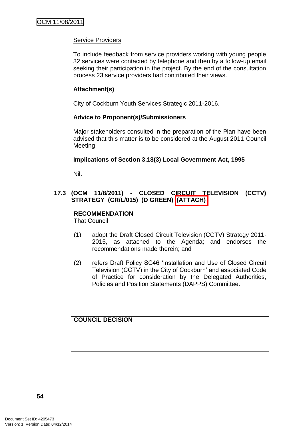## Service Providers

To include feedback from service providers working with young people 32 services were contacted by telephone and then by a follow-up email seeking their participation in the project. By the end of the consultation process 23 service providers had contributed their views.

## **Attachment(s)**

City of Cockburn Youth Services Strategic 2011-2016.

## **Advice to Proponent(s)/Submissioners**

Major stakeholders consulted in the preparation of the Plan have been advised that this matter is to be considered at the August 2011 Council Meeting.

## **Implications of Section 3.18(3) Local Government Act, 1995**

Nil.

# **17.3 (OCM 11/8/2011) - CLOSED CIRCUIT TELEVISION (CCTV) STRATEGY (CR/L/015) (D GREEN) (ATTACH)**

#### **RECOMMENDATION** That Council

- (1) adopt the Draft Closed Circuit Television (CCTV) Strategy 2011- 2015, as attached to the Agenda; and endorses the recommendations made therein; and
- (2) refers Draft Policy SC46 "Installation and Use of Closed Circuit Television (CCTV) in the City of Cockburn" and associated Code of Practice for consideration by the Delegated Authorities, Policies and Position Statements (DAPPS) Committee.

**COUNCIL DECISION**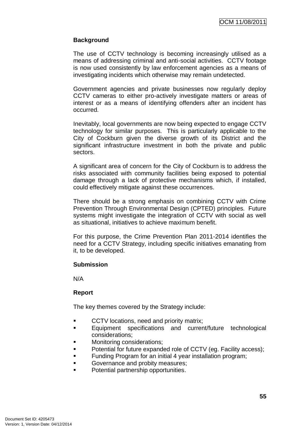## **Background**

The use of CCTV technology is becoming increasingly utilised as a means of addressing criminal and anti-social activities. CCTV footage is now used consistently by law enforcement agencies as a means of investigating incidents which otherwise may remain undetected.

Government agencies and private businesses now regularly deploy CCTV cameras to either pro-actively investigate matters or areas of interest or as a means of identifying offenders after an incident has occurred.

Inevitably, local governments are now being expected to engage CCTV technology for similar purposes. This is particularly applicable to the City of Cockburn given the diverse growth of its District and the significant infrastructure investment in both the private and public sectors.

A significant area of concern for the City of Cockburn is to address the risks associated with community facilities being exposed to potential damage through a lack of protective mechanisms which, if installed, could effectively mitigate against these occurrences.

There should be a strong emphasis on combining CCTV with Crime Prevention Through Environmental Design (CPTED) principles. Future systems might investigate the integration of CCTV with social as well as situational, initiatives to achieve maximum benefit.

For this purpose, the Crime Prevention Plan 2011-2014 identifies the need for a CCTV Strategy, including specific initiatives emanating from it, to be developed.

## **Submission**

N/A

## **Report**

The key themes covered by the Strategy include:

- **CCTV** locations, need and priority matrix;
- **Equipment specifications and current/future technological** considerations;
- **Monitoring considerations;**
- Potential for future expanded role of CCTV (eg. Facility access);
- **Funding Program for an initial 4 year installation program;**
- Governance and probity measures;
- **Potential partnership opportunities.**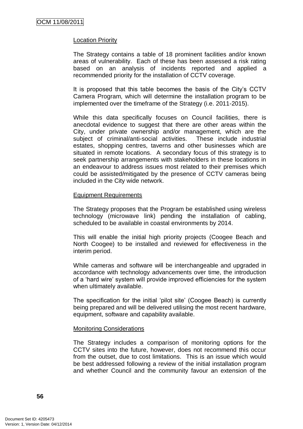#### Location Priority

The Strategy contains a table of 18 prominent facilities and/or known areas of vulnerability. Each of these has been assessed a risk rating based on an analysis of incidents reported and applied a recommended priority for the installation of CCTV coverage.

It is proposed that this table becomes the basis of the City"s CCTV Camera Program, which will determine the installation program to be implemented over the timeframe of the Strategy (i.e. 2011-2015).

While this data specifically focuses on Council facilities, there is anecdotal evidence to suggest that there are other areas within the City, under private ownership and/or management, which are the subject of criminal/anti-social activities. These include industrial estates, shopping centres, taverns and other businesses which are situated in remote locations. A secondary focus of this strategy is to seek partnership arrangements with stakeholders in these locations in an endeavour to address issues most related to their premises which could be assisted/mitigated by the presence of CCTV cameras being included in the City wide network.

#### Equipment Requirements

The Strategy proposes that the Program be established using wireless technology (microwave link) pending the installation of cabling, scheduled to be available in coastal environments by 2014.

This will enable the initial high priority projects (Coogee Beach and North Coogee) to be installed and reviewed for effectiveness in the interim period.

While cameras and software will be interchangeable and upgraded in accordance with technology advancements over time, the introduction of a "hard wire" system will provide improved efficiencies for the system when ultimately available.

The specification for the initial "pilot site" (Coogee Beach) is currently being prepared and will be delivered utilising the most recent hardware, equipment, software and capability available.

#### Monitoring Considerations

The Strategy includes a comparison of monitoring options for the CCTV sites into the future, however, does not recommend this occur from the outset, due to cost limitations. This is an issue which would be best addressed following a review of the initial installation program and whether Council and the community favour an extension of the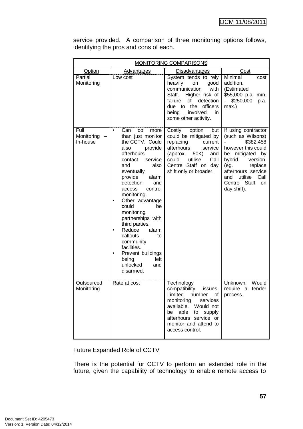|                                | MONITORING COMPARISONS                                                                                                                                                                                                                                                                                                                                                                                                                                               |                                                                                                                                                                                                                     |                                                                                                                                                                                                                                           |  |  |  |
|--------------------------------|----------------------------------------------------------------------------------------------------------------------------------------------------------------------------------------------------------------------------------------------------------------------------------------------------------------------------------------------------------------------------------------------------------------------------------------------------------------------|---------------------------------------------------------------------------------------------------------------------------------------------------------------------------------------------------------------------|-------------------------------------------------------------------------------------------------------------------------------------------------------------------------------------------------------------------------------------------|--|--|--|
| Option<br><b>Advantages</b>    |                                                                                                                                                                                                                                                                                                                                                                                                                                                                      | <b>Disadvantages</b>                                                                                                                                                                                                | Cost                                                                                                                                                                                                                                      |  |  |  |
| Partial<br>Monitoring          | Low cost                                                                                                                                                                                                                                                                                                                                                                                                                                                             | System tends to rely<br>heavily<br>on<br>good<br>communication<br>with<br>Staff.<br>Higher risk of<br>failure<br>of<br>detection<br>officers<br>due to the<br>involved<br>being<br>in.<br>some other activity.      | Minimal<br>cost<br>addition.<br>(Estimated<br>\$55,000 p.a. min.<br>\$250,000<br>p.a.<br>max.)                                                                                                                                            |  |  |  |
| Full<br>Monitoring<br>In-house | do<br>Can<br>more<br>than just monitor<br>the CCTV. Could<br>provide<br>also<br>afterhours<br>contact<br>service<br>also<br>and<br>eventually<br>provide<br>alarm<br>detection<br>and<br>control<br>access<br>monitoring.<br>Other advantage<br>could<br>be<br>monitoring<br>partnerships with<br>third parties.<br>Reduce<br>alarm<br>$\bullet$<br>callouts<br>to<br>community<br>facilities.<br>Prevent buildings<br>being<br>left<br>unlocked<br>and<br>disarmed. | Costly<br>option<br>but<br>could be mitigated by<br>replacing<br>current<br>afterhours<br>service<br>(approx.<br>50K)<br>and<br>could<br>utilise<br>Call<br>Centre Staff on day<br>shift only or broader.           | If using contractor<br>(such as Wilsons)<br>\$382,458<br>however this could<br>mitigated<br>by<br>be<br>hybrid<br>version.<br>(eg.<br>replace<br>afterhours service<br>utilise<br>Call<br>and<br>Centre Staff<br><b>on</b><br>day shift). |  |  |  |
| Outsourced<br>Monitoring       | Rate at cost                                                                                                                                                                                                                                                                                                                                                                                                                                                         | Technology<br>compatibility<br>issues.<br>Limited<br>number<br>of<br>monitoring<br>services<br>available. Would not<br>able<br>to supply<br>be<br>afterhours service or<br>monitor and attend to<br>access control. | Unknown.<br>Would<br>require a tender<br>process.                                                                                                                                                                                         |  |  |  |

service provided. A comparison of three monitoring options follows, identifying the pros and cons of each.

# Future Expanded Role of CCTV

There is the potential for CCTV to perform an extended role in the future, given the capability of technology to enable remote access to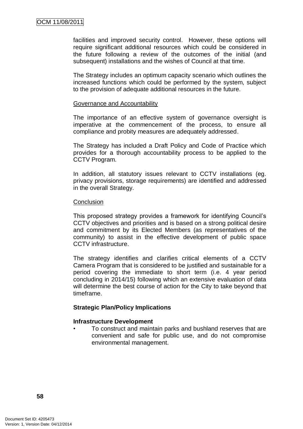facilities and improved security control. However, these options will require significant additional resources which could be considered in the future following a review of the outcomes of the initial (and subsequent) installations and the wishes of Council at that time.

The Strategy includes an optimum capacity scenario which outlines the increased functions which could be performed by the system, subject to the provision of adequate additional resources in the future.

#### Governance and Accountability

The importance of an effective system of governance oversight is imperative at the commencement of the process, to ensure all compliance and probity measures are adequately addressed.

The Strategy has included a Draft Policy and Code of Practice which provides for a thorough accountability process to be applied to the CCTV Program.

In addition, all statutory issues relevant to CCTV installations (eg. privacy provisions, storage requirements) are identified and addressed in the overall Strategy.

#### **Conclusion**

This proposed strategy provides a framework for identifying Council's CCTV objectives and priorities and is based on a strong political desire and commitment by its Elected Members (as representatives of the community) to assist in the effective development of public space CCTV infrastructure.

The strategy identifies and clarifies critical elements of a CCTV Camera Program that is considered to be justified and sustainable for a period covering the immediate to short term (i.e. 4 year period concluding in 2014/15) following which an extensive evaluation of data will determine the best course of action for the City to take beyond that timeframe.

#### **Strategic Plan/Policy Implications**

#### **Infrastructure Development**

• To construct and maintain parks and bushland reserves that are convenient and safe for public use, and do not compromise environmental management.

**58**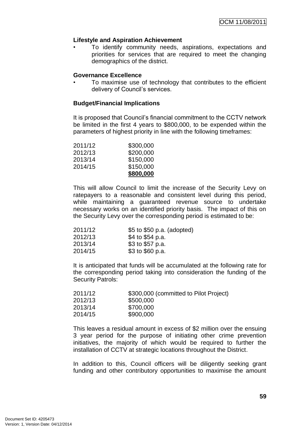## **Lifestyle and Aspiration Achievement**

• To identify community needs, aspirations, expectations and priorities for services that are required to meet the changing demographics of the district.

#### **Governance Excellence**

• To maximise use of technology that contributes to the efficient delivery of Council's services.

## **Budget/Financial Implications**

It is proposed that Council's financial commitment to the CCTV network be limited in the first 4 years to \$800,000, to be expended within the parameters of highest priority in line with the following timeframes:

|         | \$800,000 |
|---------|-----------|
| 2014/15 | \$150,000 |
| 2013/14 | \$150,000 |
| 2012/13 | \$200,000 |
| 2011/12 | \$300,000 |

This will allow Council to limit the increase of the Security Levy on ratepayers to a reasonable and consistent level during this period, while maintaining a guaranteed revenue source to undertake necessary works on an identified priority basis. The impact of this on the Security Levy over the corresponding period is estimated to be:

| 2011/12 | \$5 to \$50 p.a. (adopted) |
|---------|----------------------------|
| 2012/13 | \$4 to \$54 p.a.           |
| 2013/14 | \$3 to \$57 p.a.           |
| 2014/15 | \$3 to \$60 p.a.           |

It is anticipated that funds will be accumulated at the following rate for the corresponding period taking into consideration the funding of the Security Patrols:

| \$300,000 (committed to Pilot Project) |
|----------------------------------------|
| \$500,000                              |
| \$700,000                              |
| \$900,000                              |
|                                        |

This leaves a residual amount in excess of \$2 million over the ensuing 3 year period for the purpose of initiating other crime prevention initiatives, the majority of which would be required to further the installation of CCTV at strategic locations throughout the District.

In addition to this, Council officers will be diligently seeking grant funding and other contributory opportunities to maximise the amount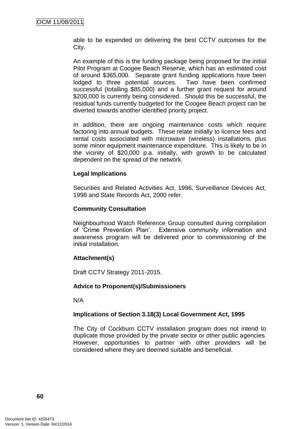able to be expended on delivering the best CCTV outcomes for the City.

An example of this is the funding package being proposed for the initial Pilot Program at Coogee Beach Reserve, which has an estimated cost of around \$365,000. Separate grant funding applications have been lodged to three potential sources. Two have been confirmed successful (totalling \$85,000) and a further grant request for around \$200,000 is currently being considered. Should this be successful, the residual funds currently budgeted for the Coogee Beach project can be diverted towards another identified priority project.

In addition, there are ongoing maintenance costs which require factoring into annual budgets. These relate initially to licence fees and rental costs associated with microwave (wireless) installations, plus some minor equipment maintenance expenditure. This is likely to be in the vicinity of \$20,000 p.a. initially, with growth to be calculated dependent on the spread of the network.

## **Legal Implications**

Securities and Related Activities Act, 1996, Surveillance Devices Act, 1998 and State Records Act, 2000 refer.

#### **Community Consultation**

Neighbourhood Watch Reference Group consulted during compilation of "Crime Prevention Plan". Extensive community information and awareness program will be delivered prior to commissioning of the initial installation.

## **Attachment(s)**

Draft CCTV Strategy 2011-2015.

#### **Advice to Proponent(s)/Submissioners**

N/A

## **Implications of Section 3.18(3) Local Government Act, 1995**

The City of Cockburn CCTV installation program does not intend to duplicate those provided by the private sector or other public agencies. However, opportunities to partner with other providers will be considered where they are deemed suitable and beneficial.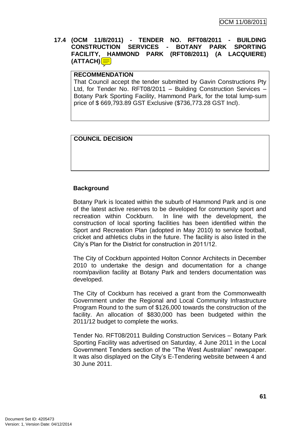# **17.4 (OCM 11/8/2011) - TENDER NO. RFT08/2011 - BUILDING CONSTRUCTION SERVICES - BOTANY PARK SPORTING FACILITY, HAMMOND PARK (RFT08/2011) (A LACQUIERE) (ATTACH)**

#### **RECOMMENDATION**

That Council accept the tender submitted by Gavin Constructions Pty Ltd, for Tender No. RFT08/2011 – Building Construction Services – Botany Park Sporting Facility, Hammond Park, for the total lump-sum price of \$ 669,793.89 GST Exclusive (\$736,773.28 GST Incl).

## **COUNCIL DECISION**

## **Background**

Botany Park is located within the suburb of Hammond Park and is one of the latest active reserves to be developed for community sport and recreation within Cockburn. In line with the development, the construction of local sporting facilities has been identified within the Sport and Recreation Plan (adopted in May 2010) to service football, cricket and athletics clubs in the future. The facility is also listed in the City"s Plan for the District for construction in 2011/12.

The City of Cockburn appointed Holton Connor Architects in December 2010 to undertake the design and documentation for a change room/pavilion facility at Botany Park and tenders documentation was developed.

The City of Cockburn has received a grant from the Commonwealth Government under the Regional and Local Community Infrastructure Program Round to the sum of \$126,000 towards the construction of the facility. An allocation of \$830,000 has been budgeted within the 2011/12 budget to complete the works.

Tender No. RFT08/2011 Building Construction Services – Botany Park Sporting Facility was advertised on Saturday, 4 June 2011 in the Local Government Tenders section of the "The West Australian" newspaper. It was also displayed on the City's E-Tendering website between 4 and 30 June 2011.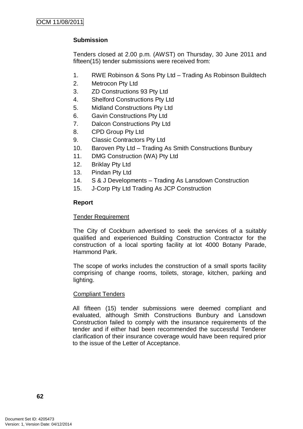# **Submission**

Tenders closed at 2.00 p.m. (AWST) on Thursday, 30 June 2011 and fifteen(15) tender submissions were received from:

- 1. RWE Robinson & Sons Pty Ltd Trading As Robinson Buildtech
- 2. Metrocon Pty Ltd
- 3. ZD Constructions 93 Pty Ltd
- 4. Shelford Constructions Pty Ltd
- 5. Midland Constructions Pty Ltd
- 6. Gavin Constructions Pty Ltd
- 7. Dalcon Constructions Pty Ltd
- 8. CPD Group Pty Ltd
- 9. Classic Contractors Pty Ltd
- 10. Baroven Pty Ltd Trading As Smith Constructions Bunbury
- 11. DMG Construction (WA) Pty Ltd
- 12. Briklay Pty Ltd
- 13. Pindan Pty Ltd
- 14. S & J Developments Trading As Lansdown Construction
- 15. J-Corp Pty Ltd Trading As JCP Construction

## **Report**

## Tender Requirement

The City of Cockburn advertised to seek the services of a suitably qualified and experienced Building Construction Contractor for the construction of a local sporting facility at lot 4000 Botany Parade, Hammond Park.

The scope of works includes the construction of a small sports facility comprising of change rooms, toilets, storage, kitchen, parking and lighting.

## Compliant Tenders

All fifteen (15) tender submissions were deemed compliant and evaluated, although Smith Constructions Bunbury and Lansdown Construction failed to comply with the insurance requirements of the tender and if either had been recommended the successful Tenderer clarification of their insurance coverage would have been required prior to the issue of the Letter of Acceptance.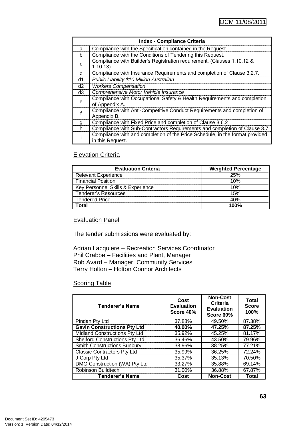| <b>Index - Compliance Criteria</b> |                                                                                                  |  |  |  |
|------------------------------------|--------------------------------------------------------------------------------------------------|--|--|--|
|                                    | Compliance with the Specification contained in the Request.                                      |  |  |  |
| n                                  | Compliance with the Conditions of Tendering this Request.                                        |  |  |  |
| C                                  | Compliance with Builder's Registration requirement. (Clauses 1.10.12 &<br>1.10.13)               |  |  |  |
| d                                  | Compliance with Insurance Requirements and completion of Clause 3.2.7.                           |  |  |  |
| d1                                 | Public Liability \$10 Million Australian                                                         |  |  |  |
| d2                                 | <b>Workers Compensation</b>                                                                      |  |  |  |
| d3                                 | Comprehensive Motor Vehicle Insurance                                                            |  |  |  |
| e                                  | Compliance with Occupational Safety & Health Requirements and completion<br>of Appendix A.       |  |  |  |
|                                    | Compliance with Anti-Competitive Conduct Requirements and completion of<br>Appendix B.           |  |  |  |
| g                                  | Compliance with Fixed Price and completion of Clause 3.6.2                                       |  |  |  |
| h                                  | Compliance with Sub-Contractors Requirements and completion of Clause 3.7                        |  |  |  |
|                                    | Compliance with and completion of the Price Schedule, in the format provided<br>in this Request. |  |  |  |

# **Elevation Criteria**

| <b>Evaluation Criteria</b>        | <b>Weighted Percentage</b> |
|-----------------------------------|----------------------------|
| <b>Relevant Experience</b>        | 25%                        |
| <b>Financial Position</b>         | 10%                        |
| Key Personnel Skills & Experience | 10%                        |
| Tenderer's Resources              | 15%                        |
| <b>Tendered Price</b>             | 40%                        |
| ادtد                              | 1በበ%                       |

## Evaluation Panel

The tender submissions were evaluated by:

Adrian Lacquiere – Recreation Services Coordinator Phil Crabbe – Facilities and Plant, Manager Rob Avard – Manager, Community Services Terry Holton – Holton Connor Architects

#### **Scoring Table**

| <b>Tenderer's Name</b>                | Cost<br><b>Evaluation</b><br>Score 40% | <b>Non-Cost</b><br>Criteria<br><b>Evaluation</b><br>Score 60% | Total<br><b>Score</b><br>100% |
|---------------------------------------|----------------------------------------|---------------------------------------------------------------|-------------------------------|
| Pindan Pty Ltd                        | 37.88%                                 | 49.50%                                                        | 87.38%                        |
| <b>Gavin Constructions Pty Ltd</b>    | 40.00%                                 | 47.25%                                                        | 87.25%                        |
| Midland Constructions Pty Ltd         | 35.92%                                 | 45.25%                                                        | 81.17%                        |
| <b>Shelford Constructions Pty Ltd</b> | 36.46%                                 | 43.50%                                                        | 79.96%                        |
| <b>Smith Constructions Bunbury</b>    | 38.96%                                 | 38.25%                                                        | 77.21%                        |
| <b>Classic Contractors Pty Ltd</b>    | 35.99%                                 | 36.25%                                                        | 72.24%                        |
| J-Corp Pty Ltd                        | 35.37%                                 | 35.13%                                                        | 70.50%                        |
| DMG Construction (WA) Pty Ltd         | 33.27%                                 | 35.88%                                                        | 69.14%                        |
| Robinson Buildtech                    | 31.00%                                 | 36.88%                                                        | 67.87%                        |
| <b>Tenderer's Name</b>                | Cost                                   | <b>Non-Cost</b>                                               | Total                         |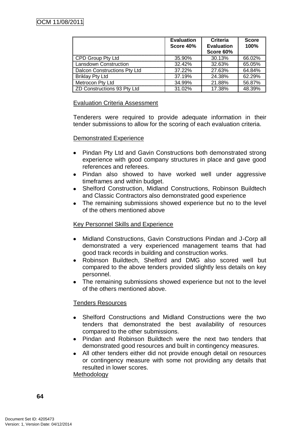|                              | <b>Evaluation</b><br>Score 40% | Criteria<br><b>Evaluation</b><br>Score 60% | <b>Score</b><br>100% |
|------------------------------|--------------------------------|--------------------------------------------|----------------------|
| CPD Group Pty Ltd            | 35.90%                         | 30.13%                                     | 66.02%               |
| <b>Lansdown Construction</b> | 32.42%                         | 32.63%                                     | 65.05%               |
| Dalcon Constructions Pty Ltd | 37.22%                         | 27.63%                                     | 64.84%               |
| <b>Briklay Pty Ltd</b>       | 37.19%                         | 24.38%                                     | 62.29%               |
| Metrocon Pty Ltd             | 34.99%                         | 21.88%                                     | 56.87%               |
| ZD Constructions 93 Pty Ltd  | 31.02%                         | 17.38%                                     | 48.39%               |

## Evaluation Criteria Assessment

Tenderers were required to provide adequate information in their tender submissions to allow for the scoring of each evaluation criteria.

#### Demonstrated Experience

- Pindan Pty Ltd and Gavin Constructions both demonstrated strong experience with good company structures in place and gave good references and referees.
- Pindan also showed to have worked well under aggressive timeframes and within budget.
- Shelford Construction, Midland Constructions, Robinson Buildtech and Classic Contractors also demonstrated good experience
- The remaining submissions showed experience but no to the level of the others mentioned above

## Key Personnel Skills and Experience

- Midland Constructions, Gavin Constructions Pindan and J-Corp all demonstrated a very experienced management teams that had good track records in building and construction works.
- Robinson Buildtech, Shelford and DMG also scored well but compared to the above tenders provided slightly less details on key personnel.
- The remaining submissions showed experience but not to the level of the others mentioned above.

## Tenders Resources

- Shelford Constructions and Midland Constructions were the two tenders that demonstrated the best availability of resources compared to the other submissions.
- Pindan and Robinson Buildtech were the next two tenders that demonstrated good resources and built in contingency measures.
- All other tenders either did not provide enough detail on resources or contingency measure with some not providing any details that resulted in lower scores.

Methodology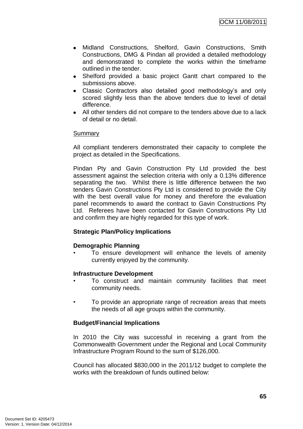- Midland Constructions, Shelford, Gavin Constructions, Smith Constructions, DMG & Pindan all provided a detailed methodology and demonstrated to complete the works within the timeframe outlined in the tender.
- Shelford provided a basic project Gantt chart compared to the submissions above.
- Classic Contractors also detailed good methodology's and only scored slightly less than the above tenders due to level of detail difference.
- All other tenders did not compare to the tenders above due to a lack of detail or no detail.

#### Summary

All compliant tenderers demonstrated their capacity to complete the project as detailed in the Specifications.

Pindan Pty and Gavin Construction Pty Ltd provided the best assessment against the selection criteria with only a 0.13% difference separating the two. Whilst there is little difference between the two tenders Gavin Constructions Pty Ltd is considered to provide the City with the best overall value for money and therefore the evaluation panel recommends to award the contract to Gavin Constructions Pty Ltd. Referees have been contacted for Gavin Constructions Pty Ltd and confirm they are highly regarded for this type of work.

## **Strategic Plan/Policy Implications**

#### **Demographic Planning**

• To ensure development will enhance the levels of amenity currently enjoyed by the community.

#### **Infrastructure Development**

- To construct and maintain community facilities that meet community needs.
- To provide an appropriate range of recreation areas that meets the needs of all age groups within the community.

#### **Budget/Financial Implications**

In 2010 the City was successful in receiving a grant from the Commonwealth Government under the Regional and Local Community Infrastructure Program Round to the sum of \$126,000.

Council has allocated \$830,000 in the 2011/12 budget to complete the works with the breakdown of funds outlined below: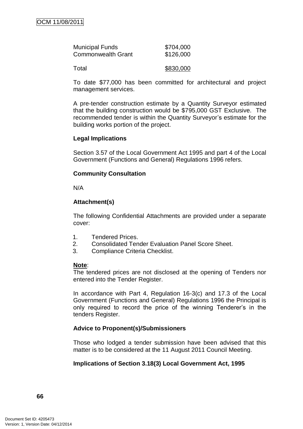| <b>Municipal Funds</b>    | \$704,000 |
|---------------------------|-----------|
| <b>Commonwealth Grant</b> | \$126,000 |
|                           |           |

Total \$830,000

To date \$77,000 has been committed for architectural and project management services.

A pre-tender construction estimate by a Quantity Surveyor estimated that the building construction would be \$795,000 GST Exclusive. The recommended tender is within the Quantity Surveyor's estimate for the building works portion of the project.

# **Legal Implications**

Section 3.57 of the Local Government Act 1995 and part 4 of the Local Government (Functions and General) Regulations 1996 refers.

# **Community Consultation**

N/A

# **Attachment(s)**

The following Confidential Attachments are provided under a separate cover:

- 1. Tendered Prices.
- 2. Consolidated Tender Evaluation Panel Score Sheet.
- 3. Compliance Criteria Checklist.

## **Note**:

The tendered prices are not disclosed at the opening of Tenders nor entered into the Tender Register.

In accordance with Part 4, Regulation 16-3(c) and 17.3 of the Local Government (Functions and General) Regulations 1996 the Principal is only required to record the price of the winning Tenderer"s in the tenders Register.

# **Advice to Proponent(s)/Submissioners**

Those who lodged a tender submission have been advised that this matter is to be considered at the 11 August 2011 Council Meeting.

# **Implications of Section 3.18(3) Local Government Act, 1995**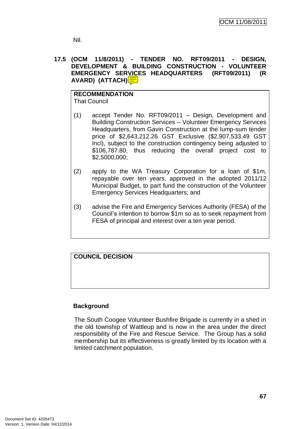Nil.

# **17.5 (OCM 11/8/2011) - TENDER NO. RFT09/2011 - DESIGN, DEVELOPMENT & BUILDING CONSTRUCTION - VOLUNTEER EMERGENCY SERVICES HEADQUARTERS (RFT09/2011) (R AVARD) (ATTACH)**

# **RECOMMENDATION**

That Council

- (1) accept Tender No. RFT09/2011 Design, Development and Building Construction Services – Volunteer Emergency Services Headquarters, from Gavin Construction at the lump-sum tender price of \$2,643,212.26 GST Exclusive (\$2,907,533.49 GST Incl), subject to the construction contingency being adjusted to \$106,787.80, thus reducing the overall project cost to \$2,5000,000;
- (2) apply to the WA Treasury Corporation for a loan of \$1m, repayable over ten years, approved in the adopted 2011/12 Municipal Budget, to part fund the construction of the Volunteer Emergency Services Headquarters; and
- (3) advise the Fire and Emergency Services Authority (FESA) of the Council"s intention to borrow \$1m so as to seek repayment from FESA of principal and interest over a ten year period.

# **COUNCIL DECISION**

# **Background**

The South Coogee Volunteer Bushfire Brigade is currently in a shed in the old township of Wattleup and is now in the area under the direct responsibility of the Fire and Rescue Service. The Group has a solid membership but its effectiveness is greatly limited by its location with a limited catchment population.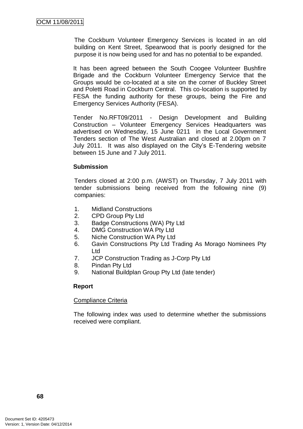The Cockburn Volunteer Emergency Services is located in an old building on Kent Street, Spearwood that is poorly designed for the purpose it is now being used for and has no potential to be expanded.

It has been agreed between the South Coogee Volunteer Bushfire Brigade and the Cockburn Volunteer Emergency Service that the Groups would be co-located at a site on the corner of Buckley Street and Poletti Road in Cockburn Central. This co-location is supported by FESA the funding authority for these groups, being the Fire and Emergency Services Authority (FESA).

Tender No.RFT09/2011 - Design Development and Building Construction – Volunteer Emergency Services Headquarters was advertised on Wednesday, 15 June 0211 in the Local Government Tenders section of The West Australian and closed at 2.00pm on 7 July 2011. It was also displayed on the City"s E-Tendering website between 15 June and 7 July 2011.

#### **Submission**

Tenders closed at 2:00 p.m. (AWST) on Thursday, 7 July 2011 with tender submissions being received from the following nine (9) companies:

- 1. Midland Constructions
- 2. CPD Group Pty Ltd
- 3. Badge Constructions (WA) Pty Ltd
- 4. DMG Construction WA Pty Ltd
- 5. Niche Construction WA Pty Ltd
- 6. Gavin Constructions Pty Ltd Trading As Morago Nominees Pty Ltd
- 7. JCP Construction Trading as J-Corp Pty Ltd
- 8. Pindan Pty Ltd
- 9. National Buildplan Group Pty Ltd (late tender)

## **Report**

#### Compliance Criteria

The following index was used to determine whether the submissions received were compliant.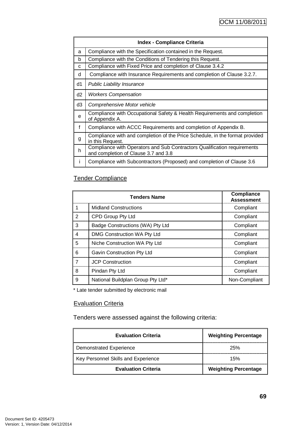| <b>Index - Compliance Criteria</b> |                                                                                                                  |  |  |  |  |
|------------------------------------|------------------------------------------------------------------------------------------------------------------|--|--|--|--|
| a                                  | Compliance with the Specification contained in the Request.                                                      |  |  |  |  |
| b                                  | Compliance with the Conditions of Tendering this Request.                                                        |  |  |  |  |
| C                                  | Compliance with Fixed Price and completion of Clause 3.4.2                                                       |  |  |  |  |
| d                                  | Compliance with Insurance Requirements and completion of Clause 3.2.7.                                           |  |  |  |  |
| d1                                 | <b>Public Liability Insurance</b>                                                                                |  |  |  |  |
| d2                                 | <b>Workers Compensation</b>                                                                                      |  |  |  |  |
| d3                                 | Comprehensive Motor vehicle                                                                                      |  |  |  |  |
| e                                  | Compliance with Occupational Safety & Health Requirements and completion<br>of Appendix A.                       |  |  |  |  |
| $\mathbf f$                        | Compliance with ACCC Requirements and completion of Appendix B.                                                  |  |  |  |  |
| g                                  | Compliance with and completion of the Price Schedule, in the format provided<br>in this Request.                 |  |  |  |  |
| h                                  | Compliance with Operators and Sub Contractors Qualification requirements<br>and completion of Clause 3.7 and 3.8 |  |  |  |  |
|                                    | Compliance with Subcontractors (Proposed) and completion of Clause 3.6                                           |  |  |  |  |

# Tender Compliance

|   | <b>Tenders Name</b>               | <b>Compliance</b><br><b>Assessment</b> |
|---|-----------------------------------|----------------------------------------|
|   | <b>Midland Constructions</b>      | Compliant                              |
| 2 | CPD Group Pty Ltd                 | Compliant                              |
| 3 | Badge Constructions (WA) Pty Ltd  | Compliant                              |
| 4 | DMG Construction WA Pty Ltd       | Compliant                              |
| 5 | Niche Construction WA Pty Ltd     | Compliant                              |
| 6 | Gavin Construction Pty Ltd        | Compliant                              |
|   | <b>JCP Construction</b>           | Compliant                              |
| 8 | Pindan Pty Ltd                    | Compliant                              |
| 9 | National Buildplan Group Pty Ltd* | Non-Compliant                          |

\* Late tender submitted by electronic mail

## **Evaluation Criteria**

Tenders were assessed against the following criteria:

| <b>Evaluation Criteria</b>          | <b>Weighting Percentage</b> |
|-------------------------------------|-----------------------------|
| <b>Demonstrated Experience</b>      | 25%                         |
| Key Personnel Skills and Experience | 15%                         |
| <b>Evaluation Criteria</b>          | <b>Weighting Percentage</b> |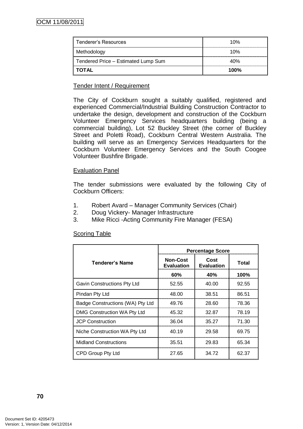| Tenderer's Resources                | 10%  |
|-------------------------------------|------|
| Methodology                         | 10%  |
| Tendered Price - Estimated Lump Sum | 40%  |
| <b>TOTAL</b>                        | 100% |

# Tender Intent / Requirement

The City of Cockburn sought a suitably qualified, registered and experienced Commercial/Industrial Building Construction Contractor to undertake the design, development and construction of the Cockburn Volunteer Emergency Services headquarters building (being a commercial building), Lot 52 Buckley Street (the corner of Buckley Street and Poletti Road), Cockburn Central Western Australia. The building will serve as an Emergency Services Headquarters for the Cockburn Volunteer Emergency Services and the South Coogee Volunteer Bushfire Brigade.

## Evaluation Panel

The tender submissions were evaluated by the following City of Cockburn Officers:

- 1. Robert Avard Manager Community Services (Chair)
- 2. Doug Vickery- Manager Infrastructure
- 3. Mike Ricci -Acting Community Fire Manager (FESA)

|                                  | <b>Percentage Score</b>              |                           |       |
|----------------------------------|--------------------------------------|---------------------------|-------|
| Tenderer's Name                  | <b>Non-Cost</b><br><b>Evaluation</b> | Cost<br><b>Evaluation</b> | Total |
|                                  | 60%                                  | 40%                       | 100%  |
| Gavin Constructions Pty Ltd      | 52.55                                | 40.00                     | 92.55 |
| Pindan Pty Ltd                   | 48.00                                | 38.51                     | 86.51 |
| Badge Constructions (WA) Pty Ltd | 49.76                                | 28.60                     | 78.36 |
| DMG Construction WA Pty Ltd      | 45.32                                | 32.87                     | 78.19 |
| <b>JCP Construction</b>          | 36.04                                | 35.27                     | 71.30 |
| Niche Construction WA Pty Ltd    | 40.19                                | 29.58                     | 69.75 |
| <b>Midland Constructions</b>     | 35.51                                | 29.83                     | 65.34 |
| CPD Group Pty Ltd                | 27.65                                | 34.72                     | 62.37 |

#### Scoring Table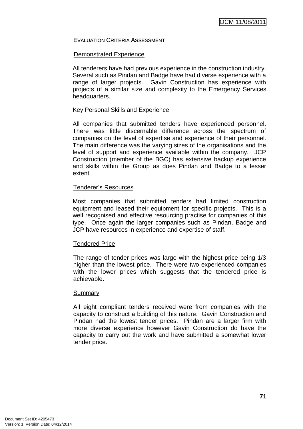EVALUATION CRITERIA ASSESSMENT

#### Demonstrated Experience

All tenderers have had previous experience in the construction industry. Several such as Pindan and Badge have had diverse experience with a range of larger projects. Gavin Construction has experience with projects of a similar size and complexity to the Emergency Services headquarters.

#### Key Personal Skills and Experience

All companies that submitted tenders have experienced personnel. There was little discernable difference across the spectrum of companies on the level of expertise and experience of their personnel. The main difference was the varying sizes of the organisations and the level of support and experience available within the company. JCP Construction (member of the BGC) has extensive backup experience and skills within the Group as does Pindan and Badge to a lesser extent.

## Tenderer"s Resources

Most companies that submitted tenders had limited construction equipment and leased their equipment for specific projects. This is a well recognised and effective resourcing practise for companies of this type. Once again the larger companies such as Pindan, Badge and JCP have resources in experience and expertise of staff.

## Tendered Price

The range of tender prices was large with the highest price being 1/3 higher than the lowest price. There were two experienced companies with the lower prices which suggests that the tendered price is achievable.

#### Summary

All eight compliant tenders received were from companies with the capacity to construct a building of this nature. Gavin Construction and Pindan had the lowest tender prices. Pindan are a larger firm with more diverse experience however Gavin Construction do have the capacity to carry out the work and have submitted a somewhat lower tender price.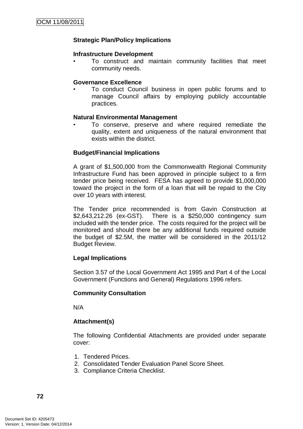## **Strategic Plan/Policy Implications**

#### **Infrastructure Development**

• To construct and maintain community facilities that meet community needs.

#### **Governance Excellence**

• To conduct Council business in open public forums and to manage Council affairs by employing publicly accountable practices.

## **Natural Environmental Management**

• To conserve, preserve and where required remediate the quality, extent and uniqueness of the natural environment that exists within the district.

## **Budget/Financial Implications**

A grant of \$1,500,000 from the Commonwealth Regional Community Infrastructure Fund has been approved in principle subject to a firm tender price being received. FESA has agreed to provide \$1,000,000 toward the project in the form of a loan that will be repaid to the City over 10 years with interest.

The Tender price recommended is from Gavin Construction at \$2,643,212.26 (ex-GST). There is a \$250,000 contingency sum included with the tender price. The costs required for the project will be monitored and should there be any additional funds required outside the budget of \$2.5M, the matter will be considered in the 2011/12 Budget Review.

## **Legal Implications**

Section 3.57 of the Local Government Act 1995 and Part 4 of the Local Government (Functions and General) Regulations 1996 refers.

## **Community Consultation**

N/A

## **Attachment(s)**

The following Confidential Attachments are provided under separate cover:

- 1. Tendered Prices.
- 2. Consolidated Tender Evaluation Panel Score Sheet.
- 3. Compliance Criteria Checklist.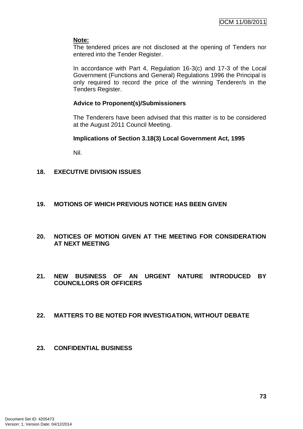## **Note:**

The tendered prices are not disclosed at the opening of Tenders nor entered into the Tender Register.

In accordance with Part 4, Regulation 16-3(c) and 17-3 of the Local Government (Functions and General) Regulations 1996 the Principal is only required to record the price of the winning Tenderer/s in the Tenders Register.

# **Advice to Proponent(s)/Submissioners**

The Tenderers have been advised that this matter is to be considered at the August 2011 Council Meeting.

# **Implications of Section 3.18(3) Local Government Act, 1995**

Nil.

# **18. EXECUTIVE DIVISION ISSUES**

# **19. MOTIONS OF WHICH PREVIOUS NOTICE HAS BEEN GIVEN**

- **20. NOTICES OF MOTION GIVEN AT THE MEETING FOR CONSIDERATION AT NEXT MEETING**
- **21. NEW BUSINESS OF AN URGENT NATURE INTRODUCED BY COUNCILLORS OR OFFICERS**

## **22. MATTERS TO BE NOTED FOR INVESTIGATION, WITHOUT DEBATE**

**23. CONFIDENTIAL BUSINESS**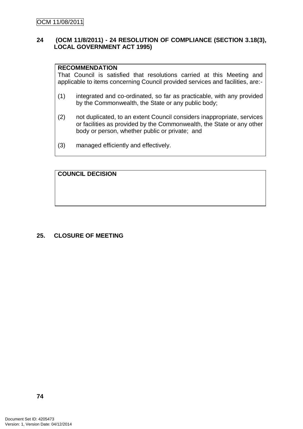# **24 (OCM 11/8/2011) - 24 RESOLUTION OF COMPLIANCE (SECTION 3.18(3), LOCAL GOVERNMENT ACT 1995)**

#### **RECOMMENDATION**

That Council is satisfied that resolutions carried at this Meeting and applicable to items concerning Council provided services and facilities, are:-

- (1) integrated and co-ordinated, so far as practicable, with any provided by the Commonwealth, the State or any public body;
- (2) not duplicated, to an extent Council considers inappropriate, services or facilities as provided by the Commonwealth, the State or any other body or person, whether public or private; and
- (3) managed efficiently and effectively.

# **COUNCIL DECISION**

## **25. CLOSURE OF MEETING**